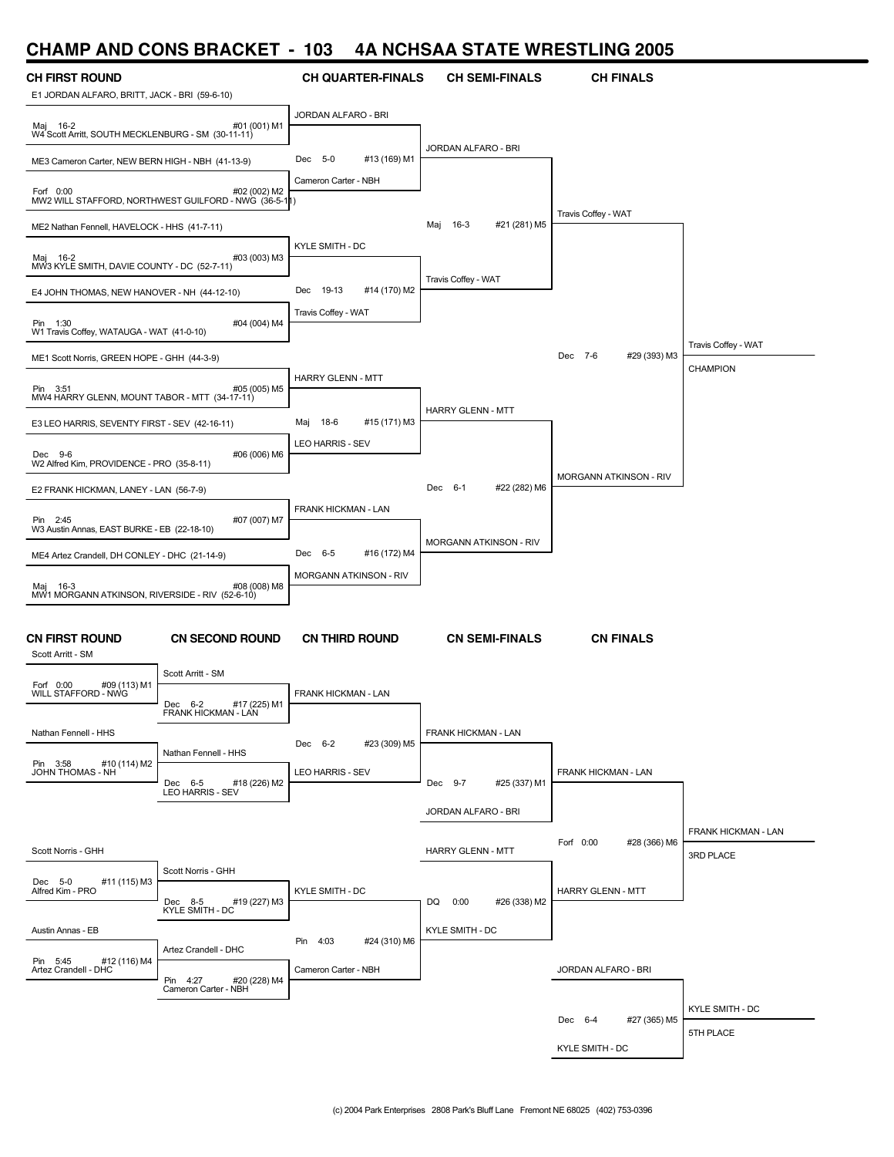# **CHAMP AND CONS BRACKET - 103 4A NCHSAA STATE WRESTLING 2005**

| UNAINIF AIND UUINJ DNAUNE I                                            |                                                                       | л.<br>טטו                                        | 4A NGHSAA STATE WHESTLING 2003 |                           |                                                |
|------------------------------------------------------------------------|-----------------------------------------------------------------------|--------------------------------------------------|--------------------------------|---------------------------|------------------------------------------------|
| <b>CH FIRST ROUND</b><br>E1 JORDAN ALFARO, BRITT, JACK - BRI (59-6-10) |                                                                       | <b>CH QUARTER-FINALS</b>                         | <b>CH SEMI-FINALS</b>          | <b>CH FINALS</b>          |                                                |
| Maj 16-2<br>W4 Scott Arritt, SOUTH MECKLENBURG - SM (30-11-11)         | #01 (001) M1                                                          | JORDAN ALFARO - BRI                              |                                |                           |                                                |
| ME3 Cameron Carter, NEW BERN HIGH - NBH (41-13-9)                      |                                                                       | Dec 5-0<br>#13 (169) M1                          | <b>JORDAN ALFARO - BRI</b>     |                           |                                                |
| Forf 0:00                                                              | #02 (002) M2<br>MW2 WILL STAFFORD, NORTHWEST GUILFORD - NWG (36-5-11) | Cameron Carter - NBH                             |                                |                           |                                                |
| ME2 Nathan Fennell, HAVELOCK - HHS (41-7-11)                           |                                                                       |                                                  | 16-3<br>#21 (281) M5<br>Maj    | Travis Coffey - WAT       |                                                |
| Maj 16-2<br>MW3 KYLE SMITH, DAVIE COUNTY - DC (52-7-11)                | #03 (003) M3                                                          | KYLE SMITH - DC                                  |                                |                           |                                                |
| E4 JOHN THOMAS, NEW HANOVER - NH (44-12-10)                            |                                                                       | Dec 19-13<br>#14 (170) M2                        | Travis Coffey - WAT            |                           |                                                |
| Pin 1:30<br>W1 Travis Coffey, WATAUGA - WAT (41-0-10)                  | #04 (004) M4                                                          | Travis Coffey - WAT                              |                                |                           |                                                |
| ME1 Scott Norris, GREEN HOPE - GHH (44-3-9)                            |                                                                       |                                                  |                                | Dec 7-6<br>#29 (393) M3   | Travis Coffey - WAT<br><b>CHAMPION</b>         |
| Pin 3:51<br>MW4 HARRY GLENN, MOUNT TABOR - MTT (34-17-11)              | #05 (005) M5                                                          | <b>HARRY GLENN - MTT</b>                         |                                |                           |                                                |
| E3 LEO HARRIS, SEVENTY FIRST - SEV (42-16-11)                          |                                                                       | #15 (171) M3<br>Maj<br>18-6                      | <b>HARRY GLENN - MTT</b>       |                           |                                                |
| Dec 9-6<br>W2 Alfred Kim, PROVIDENCE - PRO (35-8-11)                   | #06 (006) M6                                                          | <b>LEO HARRIS - SEV</b>                          |                                | MORGANN ATKINSON - RIV    |                                                |
| E2 FRANK HICKMAN, LANEY - LAN (56-7-9)                                 |                                                                       |                                                  | Dec 6-1<br>#22 (282) M6        |                           |                                                |
| Pin 2:45<br>W3 Austin Annas, EAST BURKE - EB (22-18-10)                | #07 (007) M7                                                          | FRANK HICKMAN - LAN                              | <b>MORGANN ATKINSON - RIV</b>  |                           |                                                |
| ME4 Artez Crandell, DH CONLEY - DHC (21-14-9)                          |                                                                       | Dec 6-5<br>#16 (172) M4                          |                                |                           |                                                |
| Maj 16-3<br>MW1 MORGANN ATKINSON, RIVERSIDE - RIV (52-6-10)            | #08 (008) M8                                                          | MORGANN ATKINSON - RIV                           |                                |                           |                                                |
| <b>CN FIRST ROUND</b><br>Scott Arritt - SM                             | <b>CN SECOND ROUND</b>                                                | <b>CN THIRD ROUND</b>                            | <b>CN SEMI-FINALS</b>          | <b>CN FINALS</b>          |                                                |
| Forf 0:00<br>#09 (113) M1<br>WILL STAFFORD - NWG                       | Scott Arritt - SM<br>Dec 6-2<br>#17 (225) M1                          | FRANK HICKMAN - LAN                              |                                |                           |                                                |
| Nathan Fennell - HHS                                                   | FRANK HICKMAN - LAN                                                   |                                                  | <b>FRANK HICKMAN - LAN</b>     |                           |                                                |
|                                                                        | Nathan Fennell - HHS                                                  | Dec 6-2<br>#23 (309) M5                          |                                |                           |                                                |
| Pin 3:58<br>#10 (114) M2<br>JOHN THOMAS - NH                           | Dec 6-5<br>#18 (226) M2<br><b>LEO HARRIS - SEV</b>                    | LEO HARRIS - SEV                                 | Dec 9-7<br>#25 (337) M1        | FRANK HICKMAN - LAN       |                                                |
|                                                                        |                                                                       |                                                  | JORDAN ALFARO - BRI            |                           |                                                |
| Scott Norris - GHH                                                     |                                                                       |                                                  | <b>HARRY GLENN - MTT</b>       | Forf 0:00<br>#28 (366) M6 | <b>FRANK HICKMAN - LAN</b><br><b>3RD PLACE</b> |
| Dec 5-0<br>Alfred Kim - PRO<br>#11 (115) M3                            | Scott Norris - GHH<br>Dec 8-5 #<br>KYLE SMITH - DC<br>#19 (227) M3    | KYLE SMITH - DC                                  | DQ 0:00<br>#26 (338) M2        | <b>HARRY GLENN - MTT</b>  |                                                |
| Austin Annas - EB                                                      |                                                                       |                                                  | KYLE SMITH - DC                |                           |                                                |
| Pin 5:45<br>#12 (116) M4<br>Artez Crandell - DHC                       | Artez Crandell - DHC                                                  | Pin 4:03<br>#24 (310) M6<br>Cameron Carter - NBH |                                | JORDAN ALFARO - BRI       |                                                |
|                                                                        | Pin 4:27<br>#20 (228) M4<br>Cameron Carter - NBH                      |                                                  |                                |                           |                                                |
|                                                                        |                                                                       |                                                  |                                | Dec 6-4<br>#27 (365) M5   | KYLE SMITH - DC                                |
|                                                                        |                                                                       |                                                  |                                | KYLE SMITH - DC           | 5TH PLACE                                      |
|                                                                        |                                                                       |                                                  |                                |                           |                                                |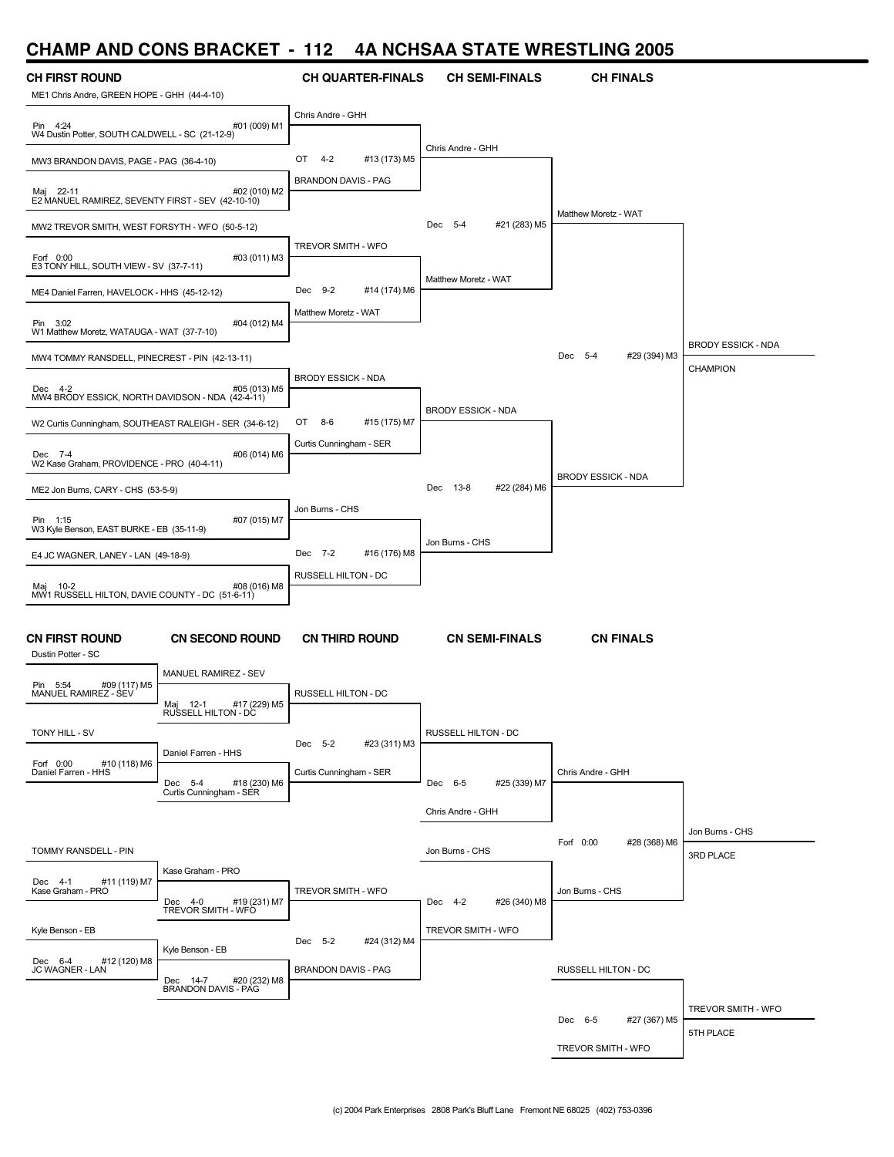# **CHAMP AND CONS BRACKET - 112 4A NCHSAA STATE WRESTLING 2005**

| <b>CH FIRST ROUND</b><br>ME1 Chris Andre, GREEN HOPE - GHH (44-4-10) |                                                  | <b>CH QUARTER-FINALS</b>                           | <b>CH SEMI-FINALS</b>     | <b>CH FINALS</b>          |                                              |
|----------------------------------------------------------------------|--------------------------------------------------|----------------------------------------------------|---------------------------|---------------------------|----------------------------------------------|
| Pin 4:24<br>W4 Dustin Potter, SOUTH CALDWELL - SC (21-12-9)          | #01 (009) M1                                     | Chris Andre - GHH                                  |                           |                           |                                              |
| MW3 BRANDON DAVIS, PAGE - PAG (36-4-10)                              |                                                  | OT 4-2<br>#13 (173) M5                             | Chris Andre - GHH         |                           |                                              |
| Maj 22-11<br>E2 MANUEL RAMIREZ, SEVENTY FIRST - SEV (42-10-10)       | #02 (010) M2                                     | <b>BRANDON DAVIS - PAG</b>                         |                           |                           |                                              |
| MW2 TREVOR SMITH, WEST FORSYTH - WFO (50-5-12)                       |                                                  |                                                    | #21 (283) M5<br>Dec 5-4   | Matthew Moretz - WAT      |                                              |
| Forf 0:00<br>E3 TONY HILL, SOUTH VIEW - SV (37-7-11)                 | #03 (011) M3                                     | TREVOR SMITH - WFO                                 |                           |                           |                                              |
| ME4 Daniel Farren, HAVELOCK - HHS (45-12-12)                         |                                                  | Dec 9-2<br>#14 (174) M6                            | Matthew Moretz - WAT      |                           |                                              |
| Pin 3:02<br>W1 Matthew Moretz, WATAUGA - WAT (37-7-10)               | #04 (012) M4                                     | Matthew Moretz - WAT                               |                           |                           |                                              |
| MW4 TOMMY RANSDELL, PINECREST - PIN (42-13-11)                       |                                                  |                                                    |                           | Dec 5-4<br>#29 (394) M3   | <b>BRODY ESSICK - NDA</b><br><b>CHAMPION</b> |
| Dec 4-2<br>MW4 BRODY ESSICK, NORTH DAVIDSON - NDA (42-4-11)          | #05 (013) M5                                     | <b>BRODY ESSICK - NDA</b>                          | <b>BRODY ESSICK - NDA</b> |                           |                                              |
| W2 Curtis Cunningham, SOUTHEAST RALEIGH - SER (34-6-12)              |                                                  | OT<br>8-6<br>#15 (175) M7                          |                           |                           |                                              |
| Dec 7-4<br>W2 Kase Graham, PROVIDENCE - PRO (40-4-11)                | #06 (014) M6                                     | Curtis Cunningham - SER                            |                           |                           |                                              |
| ME2 Jon Burns, CARY - CHS (53-5-9)                                   |                                                  |                                                    | Dec 13-8<br>#22 (284) M6  | <b>BRODY ESSICK - NDA</b> |                                              |
| Pin 1:15<br>W3 Kyle Benson, EAST BURKE - EB (35-11-9)                | #07 (015) M7                                     | Jon Burns - CHS                                    |                           |                           |                                              |
| E4 JC WAGNER, LANEY - LAN (49-18-9)                                  |                                                  | Dec 7-2<br>#16 (176) M8                            | Jon Burns - CHS           |                           |                                              |
| Maj 10-2<br>MW1 RUSSELL HILTON, DAVIE COUNTY - DC (51-6-11)          | #08 (016) M8                                     | RUSSELL HILTON - DC                                |                           |                           |                                              |
| <b>CN FIRST ROUND</b><br>Dustin Potter - SC                          | <b>CN SECOND ROUND</b>                           | <b>CN THIRD ROUND</b>                              | <b>CN SEMI-FINALS</b>     | <b>CN FINALS</b>          |                                              |
| Pin 5:54<br>#09 (117) M5<br>MANUEL RAMIREZ - SEV                     | MANUEL RAMIREZ - SEV<br>#17 (229) M5<br>Maj 12-1 | RUSSELL HILTON - DC                                |                           |                           |                                              |
| TONY HILL - SV                                                       | RUSSELL HILTON - DC                              |                                                    | RUSSELL HILTON - DC       |                           |                                              |
| Forf 0:00<br>#10 (118) M6<br>Daniel Farren - HHS                     | Daniel Farren - HHS<br>#18 (230) M6<br>Dec 5-4   | #23 (311) M3<br>Dec 5-2<br>Curtis Cunningham - SER | #25 (339) M7<br>Dec 6-5   | Chris Andre - GHH         |                                              |
|                                                                      | Curtis Cunningham - SER                          |                                                    | Chris Andre - GHH         |                           |                                              |
| TOMMY RANSDELL - PIN                                                 |                                                  |                                                    | Jon Burns - CHS           | Forf 0:00<br>#28 (368) M6 | Jon Burns - CHS<br>3RD PLACE                 |
| Dec 4-1<br>#11 (119) M7                                              | Kase Graham - PRO                                |                                                    |                           |                           |                                              |
| Kase Graham - PRO                                                    | #19 (231) M7<br>Dec 4-0<br>TREVOR SMITH - WFO    | TREVOR SMITH - WFO                                 | #26 (340) M8<br>Dec 4-2   | Jon Burns - CHS           |                                              |
| Kyle Benson - EB                                                     |                                                  | Dec 5-2<br>#24 (312) M4                            | TREVOR SMITH - WFO        |                           |                                              |
| Dec 6-4<br>#12 (120) M8<br>JC WAGNER - LAN                           | Kyle Benson - EB<br>#20 (232) M8<br>Dec 14-7     | <b>BRANDON DAVIS - PAG</b>                         |                           | RUSSELL HILTON - DC       |                                              |
|                                                                      | BRANDON DAVIS - PAG                              |                                                    |                           |                           | TREVOR SMITH - WFO                           |
|                                                                      |                                                  |                                                    |                           | Dec 6-5<br>#27 (367) M5   | 5TH PLACE                                    |
|                                                                      |                                                  |                                                    |                           | TREVOR SMITH - WFO        |                                              |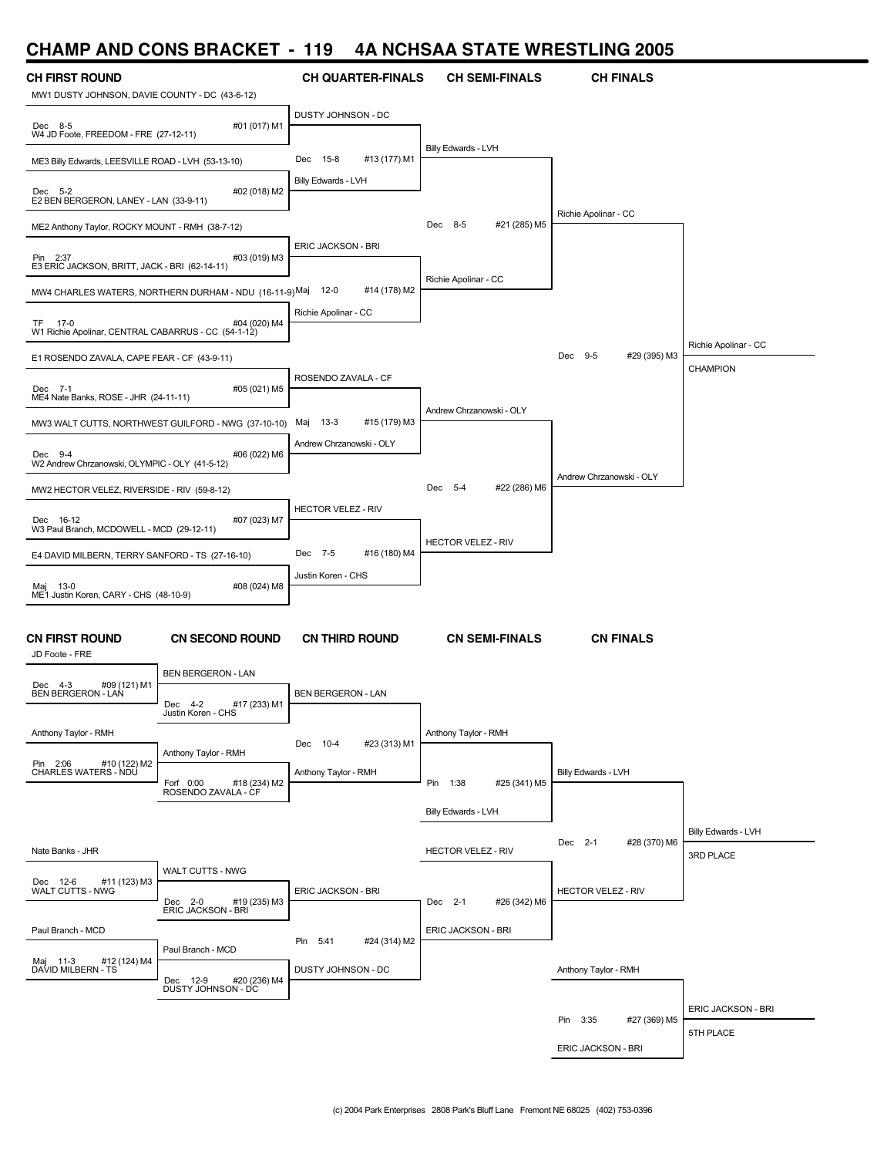#### **CHAMP AND CONS BRACKET - 119 4A NCHSAA STATE WRESTLING 2005**

| <i>r</i><br><b>CH FIRST ROUND</b>                              |                                                         | <b>CH QUARTER-FINALS</b>                       | <b>CH SEMI-FINALS</b>     | <b>CH FINALS</b>          |                                         |
|----------------------------------------------------------------|---------------------------------------------------------|------------------------------------------------|---------------------------|---------------------------|-----------------------------------------|
| MW1 DUSTY JOHNSON, DAVIE COUNTY - DC (43-6-12)                 |                                                         |                                                |                           |                           |                                         |
| Dec 8-5<br>W4 JD Foote, FREEDOM - FRE (27-12-11)               | #01 (017) M1                                            | DUSTY JOHNSON - DC                             |                           |                           |                                         |
| ME3 Billy Edwards, LEESVILLE ROAD - LVH (53-13-10)             |                                                         | Dec 15-8<br>#13 (177) M1                       | Billy Edwards - LVH       |                           |                                         |
| Dec 5-2<br>E2 BEN BERGERON, LANEY - LAN (33-9-11)              | #02 (018) M2                                            | Billy Edwards - LVH                            |                           |                           |                                         |
| ME2 Anthony Taylor, ROCKY MOUNT - RMH (38-7-12)                |                                                         |                                                | #21 (285) M5<br>Dec 8-5   | Richie Apolinar - CC      |                                         |
| Pin 2:37<br>E3 ERIC JACKSON, BRITT, JACK - BRI (62-14-11)      | #03 (019) M3                                            | ERIC JACKSON - BRI                             |                           |                           |                                         |
|                                                                | MW4 CHARLES WATERS, NORTHERN DURHAM - NDU (16-11-9) Maj | $12-0$<br>#14 (178) M2                         | Richie Apolinar - CC      |                           |                                         |
| TF 17-0<br>W1 Richie Apolinar, CENTRAL CABARRUS - CC (54-1-12) | #04 (020) M4                                            | Richie Apolinar - CC                           |                           |                           |                                         |
| E1 ROSENDO ZAVALA, CAPE FEAR - CF (43-9-11)                    |                                                         |                                                |                           | Dec 9-5<br>#29 (395) M3   | Richie Apolinar - CC<br><b>CHAMPION</b> |
| Dec 7-1<br>ME4 Nate Banks, ROSE - JHR (24-11-11)               | #05 (021) M5                                            | ROSENDO ZAVALA - CF                            |                           |                           |                                         |
|                                                                | MW3 WALT CUTTS, NORTHWEST GUILFORD - NWG (37-10-10)     | $13-3$<br>#15 (179) M3<br>Maj                  | Andrew Chrzanowski - OLY  |                           |                                         |
| Dec 9-4<br>W2 Andrew Chrzanowski, OLYMPIC - OLY (41-5-12)      | #06 (022) M6                                            | Andrew Chrzanowski - OLY                       |                           | Andrew Chrzanowski - OLY  |                                         |
| MW2 HECTOR VELEZ, RIVERSIDE - RIV (59-8-12)                    |                                                         |                                                | #22 (286) M6<br>Dec 5-4   |                           |                                         |
| Dec 16-12<br>W3 Paul Branch, MCDOWELL - MCD (29-12-11)         | #07 (023) M7                                            | <b>HECTOR VELEZ - RIV</b>                      | <b>HECTOR VELEZ - RIV</b> |                           |                                         |
| E4 DAVID MILBERN, TERRY SANFORD - TS (27-16-10)                |                                                         | Dec 7-5<br>#16 (180) M4                        |                           |                           |                                         |
| Maj 13-0                                                       | #08 (024) M8                                            | Justin Koren - CHS                             |                           |                           |                                         |
| ME1 Justin Koren, CARY - CHS (48-10-9)                         |                                                         |                                                |                           |                           |                                         |
| <b>CN FIRST ROUND</b><br>JD Foote - FRE                        | <b>CN SECOND ROUND</b>                                  | <b>CN THIRD ROUND</b>                          | <b>CN SEMI-FINALS</b>     | <b>CN FINALS</b>          |                                         |
| #09 (121) M1<br>Dec 4-3                                        | <b>BEN BERGERON - LAN</b>                               |                                                |                           |                           |                                         |
| <b>BEN BERGERON - LAN</b>                                      | #17 (233) M1<br>Dec 4-2<br>Justin Koren - CHS           | <b>BEN BERGERON - LAN</b>                      |                           |                           |                                         |
| Anthony Taylor - RMH                                           | Anthony Taylor - RMH                                    | Dec 10-4<br>#23 (313) M1                       | Anthony Taylor - RMH      |                           |                                         |
| #10 (122) M2<br>Pin 2:06<br>CHARLES WATERS - NDU               | Forf 0:00<br>#18 (234) M2<br>ROSENDO ZAVALA - CF        | Anthony Taylor - RMH                           | Pin 1:38<br>#25 (341) M5  | Billy Edwards - LVH       |                                         |
|                                                                |                                                         |                                                | Billy Edwards - LVH       |                           |                                         |
| Nate Banks - JHR                                               |                                                         |                                                | <b>HECTOR VELEZ - RIV</b> | Dec 2-1<br>#28 (370) M6   | Billy Edwards - LVH<br>3RD PLACE        |
| Dec 12-6<br>#11 (123) M3                                       | WALT CUTTS - NWG                                        |                                                |                           |                           |                                         |
| WALT CUTTS - NWG                                               | Dec 2-0<br>#19 (235) M3<br>ERIC JACKSON - BRI           | ERIC JACKSON - BRI                             | #26 (342) M6<br>Dec 2-1   | <b>HECTOR VELEZ - RIV</b> |                                         |
| Paul Branch - MCD                                              |                                                         |                                                | ERIC JACKSON - BRI        |                           |                                         |
| #12 (124) M4<br>Maj 11-3<br>DAVID MILBERN - TS                 | Paul Branch - MCD                                       | Pin 5:41<br>#24 (314) M2<br>DUSTY JOHNSON - DC |                           | Anthony Taylor - RMH      |                                         |
|                                                                | Dec 12-9<br>#20 (236) M4<br>DUSTY JOHNSON - DC          |                                                |                           |                           |                                         |
|                                                                |                                                         |                                                |                           | #27 (369) M5<br>Pin 3:35  | ERIC JACKSON - BRI                      |
|                                                                |                                                         |                                                |                           | ERIC JACKSON - BRI        | 5TH PLACE                               |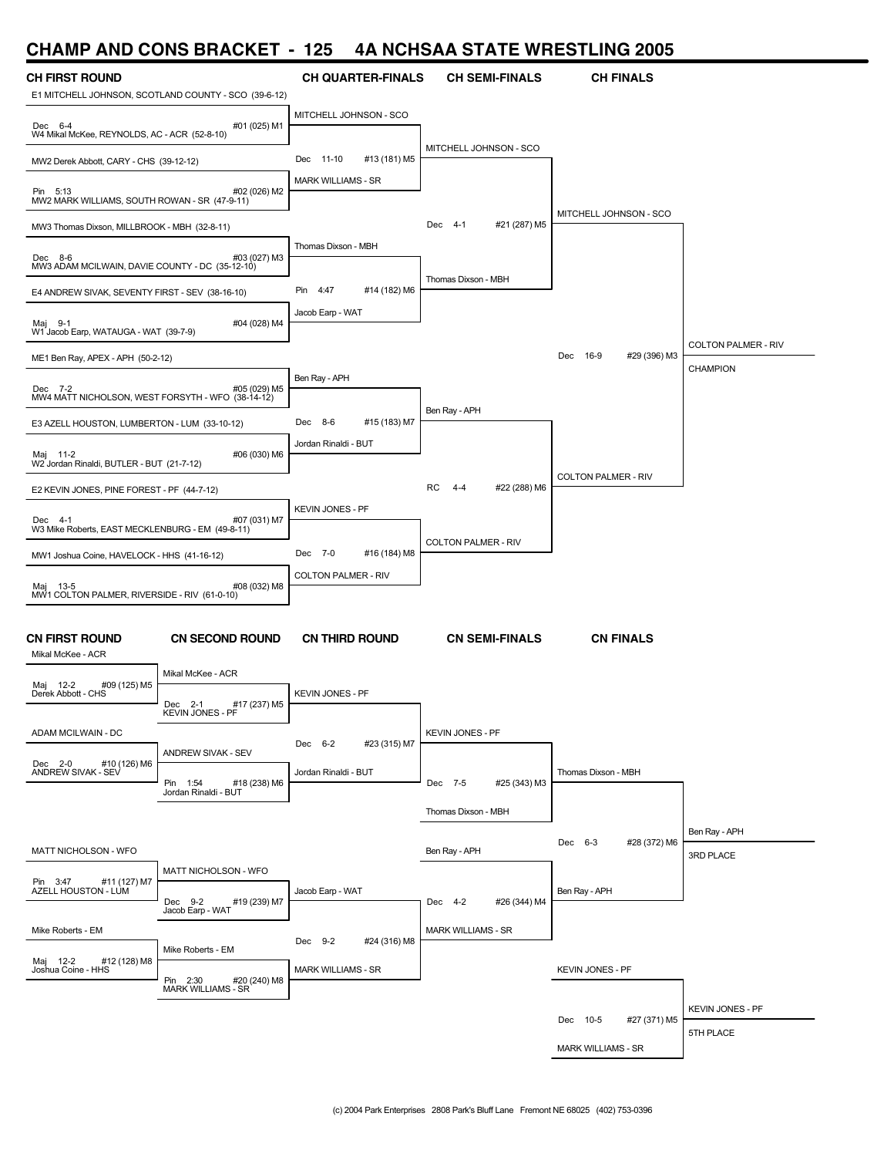## **CHAMP AND CONS BRACKET - 125 4A NCHSAA STATE WRESTLING 2005**

| <b>CH FIRST ROUND</b>                                        |                                                      | <b>CH QUARTER-FINALS</b>    | <b>CH SEMI-FINALS</b>      | <b>CH FINALS</b>            |                            |
|--------------------------------------------------------------|------------------------------------------------------|-----------------------------|----------------------------|-----------------------------|----------------------------|
|                                                              | E1 MITCHELL JOHNSON, SCOTLAND COUNTY - SCO (39-6-12) | MITCHELL JOHNSON - SCO      |                            |                             |                            |
| Dec 6-4<br>W4 Mikal McKee, REYNOLDS, AC - ACR (52-8-10)      | #01 (025) M1                                         |                             |                            |                             |                            |
| MW2 Derek Abbott, CARY - CHS (39-12-12)                      |                                                      | Dec 11-10<br>#13 (181) M5   | MITCHELL JOHNSON - SCO     |                             |                            |
| Pin 5:13<br>MW2 MARK WILLIAMS, SOUTH ROWAN - SR (47-9-11)    | #02 (026) M2                                         | <b>MARK WILLIAMS - SR</b>   |                            | MITCHELL JOHNSON - SCO      |                            |
| MW3 Thomas Dixson, MILLBROOK - MBH (32-8-11)                 |                                                      |                             | Dec 4-1<br>#21 (287) M5    |                             |                            |
| Dec 8-6<br>MW3 ADAM MCILWAIN, DAVIE COUNTY - DC (35-12-10)   | #03 (027) M3                                         | Thomas Dixson - MBH         |                            |                             |                            |
| E4 ANDREW SIVAK, SEVENTY FIRST - SEV (38-16-10)              |                                                      | Pin<br>4:47<br>#14 (182) M6 | Thomas Dixson - MBH        |                             |                            |
| Maj 9-1<br>W1 Jacob Earp, WATAUGA - WAT (39-7-9)             | #04 (028) M4                                         | Jacob Earp - WAT            |                            |                             |                            |
| ME1 Ben Ray, APEX - APH (50-2-12)                            |                                                      |                             |                            | Dec<br>16-9<br>#29 (396) M3 | <b>COLTON PALMER - RIV</b> |
| Dec 7-2<br>MW4 MATT NICHOLSON, WEST FORSYTH - WFO (38-14-12) | #05 (029) M5                                         | Ben Ray - APH               |                            |                             | <b>CHAMPION</b>            |
| E3 AZELL HOUSTON, LUMBERTON - LUM (33-10-12)                 |                                                      | Dec 8-6<br>#15 (183) M7     | Ben Ray - APH              |                             |                            |
| Maj 11-2<br>W2 Jordan Rinaldi, BUTLER - BUT (21-7-12)        | #06 (030) M6                                         | Jordan Rinaldi - BUT        |                            |                             |                            |
| E2 KEVIN JONES, PINE FOREST - PF (44-7-12)                   |                                                      |                             | RC<br>#22 (288) M6<br>4-4  | <b>COLTON PALMER - RIV</b>  |                            |
|                                                              |                                                      | <b>KEVIN JONES - PF</b>     |                            |                             |                            |
| Dec 4-1<br>W3 Mike Roberts, EAST MECKLENBURG - EM (49-8-11)  | #07 (031) M7                                         |                             |                            |                             |                            |
| MW1 Joshua Coine, HAVELOCK - HHS (41-16-12)                  |                                                      | Dec 7-0<br>#16 (184) M8     | <b>COLTON PALMER - RIV</b> |                             |                            |
| ##<br>MW1 COLTON PALMER, RIVERSIDE - RIV (61-0-10)           | #08 (032) M8                                         | <b>COLTON PALMER - RIV</b>  |                            |                             |                            |
|                                                              |                                                      |                             |                            |                             |                            |
| <b>CN FIRST ROUND</b><br>Mikal McKee - ACR                   | <b>CN SECOND ROUND</b>                               | <b>CN THIRD ROUND</b>       | <b>CN SEMI-FINALS</b>      | <b>CN FINALS</b>            |                            |
| #09 (125) M5<br>Maj 12-2                                     | Mikal McKee - ACR                                    |                             |                            |                             |                            |
| Derek Abbott - CHS                                           | Dec 2-1<br>#17 (237) M5<br>KEVIN JONES - PF          | <b>KEVIN JONES - PF</b>     |                            |                             |                            |
| ADAM MCILWAIN - DC                                           |                                                      | Dec 6-2<br>#23 (315) M7     | <b>KEVIN JONES - PF</b>    |                             |                            |
| #10 (126) M6<br>Dec 2-0<br>ANDREW SIVAK - SEV                | ANDREW SIVAK - SEV                                   |                             |                            |                             |                            |
|                                                              | Pin 1:54<br>#18 (238) M6<br>Jordan Rinaldi - BUT     | Jordan Rinaldi - BUT        | Dec 7-5<br>#25 (343) M3    | Thomas Dixson - MBH         |                            |
|                                                              |                                                      |                             | Thomas Dixson - MBH        |                             |                            |
|                                                              |                                                      |                             |                            | Dec 6-3<br>#28 (372) M6     | Ben Ray - APH              |
| MATT NICHOLSON - WFO                                         | MATT NICHOLSON - WFO                                 |                             | Ben Ray - APH              |                             | 3RD PLACE                  |
| Pin 3:47<br>#11 (127) M7<br>AZELL HOUSTON - LUM              |                                                      | Jacob Earp - WAT            |                            | Ben Ray - APH               |                            |
|                                                              | Dec 9-2<br>#19 (239) M7<br>Jacob Earp - WAT          |                             | Dec 4-2<br>#26 (344) M4    |                             |                            |
| Mike Roberts - EM                                            |                                                      | Dec 9-2<br>#24 (316) M8     | <b>MARK WILLIAMS - SR</b>  |                             |                            |
| Maj 12-2<br>#12 (128) M8<br>Joshua Coine - HHS               | Mike Roberts - EM                                    | <b>MARK WILLIAMS - SR</b>   |                            | <b>KEVIN JONES - PF</b>     |                            |
|                                                              | Pin 2:30 #20 (240) M8<br>MARK WILLIAMS - SR          |                             |                            |                             |                            |
|                                                              |                                                      |                             |                            | Dec 10-5                    | <b>KEVIN JONES - PF</b>    |
|                                                              |                                                      |                             |                            | #27 (371) M5                | 5TH PLACE                  |
|                                                              |                                                      |                             |                            | <b>MARK WILLIAMS - SR</b>   |                            |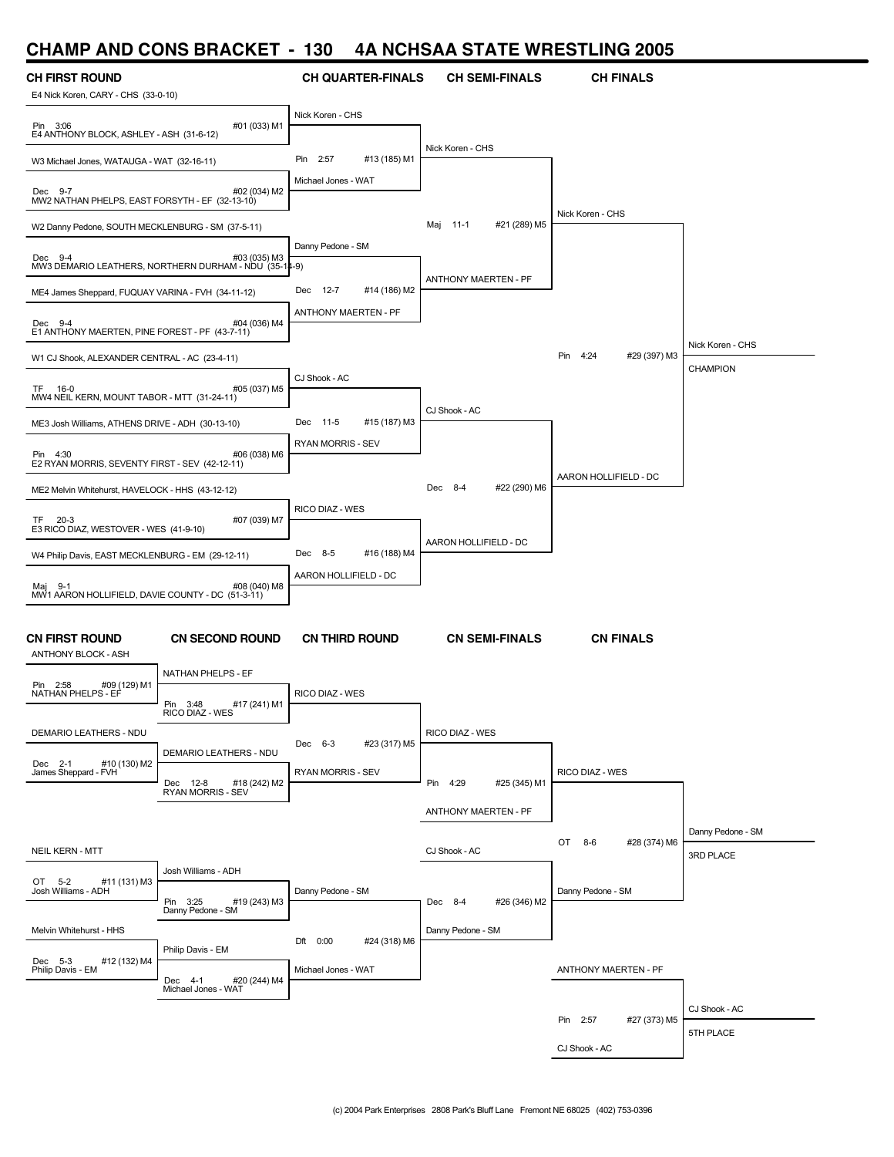### **CHAMP AND CONS BRACKET - 130 4A NCHSAA STATE WRESTLING 2005**

| <b>CH FIRST ROUND</b>                                                                       |                                                                       | <b>CH QUARTER-FINALS</b>    | <b>CH SEMI-FINALS</b>         | <b>CH FINALS</b>            |                   |
|---------------------------------------------------------------------------------------------|-----------------------------------------------------------------------|-----------------------------|-------------------------------|-----------------------------|-------------------|
| E4 Nick Koren, CARY - CHS (33-0-10)                                                         |                                                                       |                             |                               |                             |                   |
| Pin 3:06<br>E4 ANTHONY BLOCK, ASHLEY - ASH (31-6-12)                                        | #01 (033) M1                                                          | Nick Koren - CHS            |                               |                             |                   |
| W3 Michael Jones, WATAUGA - WAT (32-16-11)                                                  |                                                                       | Pin<br>2:57<br>#13 (185) M1 | Nick Koren - CHS              |                             |                   |
| Dec 9-7<br>MW2 NATHAN PHELPS, EAST FORSYTH - EF (32-13-10)                                  | #02 (034) M2                                                          | Michael Jones - WAT         |                               |                             |                   |
| W2 Danny Pedone, SOUTH MECKLENBURG - SM (37-5-11)                                           |                                                                       |                             | $11-1$<br>#21 (289) M5<br>Maj | Nick Koren - CHS            |                   |
| Dec 9-4                                                                                     | #03 (035) M3<br>MW3 DEMARIO LEATHERS, NORTHERN DURHAM - NDU (35-14-9) | Danny Pedone - SM           | <b>ANTHONY MAERTEN - PF</b>   |                             |                   |
| ME4 James Sheppard, FUQUAY VARINA - FVH (34-11-12)                                          |                                                                       | 12-7<br>#14 (186) M2<br>Dec |                               |                             |                   |
| Dec 9-4<br>E1 ANTHONY MAERTEN, PINE FOREST - PF (43-7-11)                                   | #04 (036) M4                                                          | ANTHONY MAERTEN - PF        |                               |                             | Nick Koren - CHS  |
| W1 CJ Shook, ALEXANDER CENTRAL - AC (23-4-11)                                               |                                                                       |                             |                               | Pin 4:24<br>#29 (397) M3    | <b>CHAMPION</b>   |
| TF 16-0<br>MW4 NEIL KERN, MOUNT TABOR - MTT (31-24-11)                                      | #05 (037) M5                                                          | CJ Shook - AC               |                               |                             |                   |
| ME3 Josh Williams, ATHENS DRIVE - ADH (30-13-10)                                            |                                                                       | #15 (187) M3<br>Dec 11-5    | CJ Shook - AC                 |                             |                   |
| Pin 4:30<br>E2 RYAN MORRIS, SEVENTY FIRST - SEV (42-12-11)                                  | #06 (038) M6                                                          | <b>RYAN MORRIS - SEV</b>    |                               |                             |                   |
| ME2 Melvin Whitehurst, HAVELOCK - HHS (43-12-12)                                            |                                                                       |                             | Dec 8-4<br>#22 (290) M6       | AARON HOLLIFIELD - DC       |                   |
| TF 20-3                                                                                     | #07 (039) M7                                                          | RICO DIAZ - WES             |                               |                             |                   |
| E3 RICO DIAZ, WESTOVER - WES (41-9-10)<br>W4 Philip Davis, EAST MECKLENBURG - EM (29-12-11) |                                                                       | #16 (188) M4<br>Dec 8-5     | AARON HOLLIFIELD - DC         |                             |                   |
| Maj 9-1                                                                                     | #08 (040) M8                                                          | AARON HOLLIFIELD - DC       |                               |                             |                   |
| MW1 AARON HOLLIFIELD, DAVIE COUNTY - DC (51-3-11)                                           |                                                                       |                             |                               |                             |                   |
| <b>CN FIRST ROUND</b><br>ANTHONY BLOCK - ASH                                                | <b>CN SECOND ROUND</b>                                                | <b>CN THIRD ROUND</b>       | <b>CN SEMI-FINALS</b>         | <b>CN FINALS</b>            |                   |
| Pin 2:58<br>#09 (129) M1                                                                    | NATHAN PHELPS - EF                                                    |                             |                               |                             |                   |
| NATHAN PHELPS - EF                                                                          | Pin 3:48<br>#17 (241) M1<br>RICO DIAZ - WES                           | RICO DIAZ - WES             |                               |                             |                   |
| <b>DEMARIO LEATHERS - NDU</b>                                                               |                                                                       | #23 (317) M5<br>Dec 6-3     | RICO DIAZ - WES               |                             |                   |
| #10 (130) M2<br>Dec 2-1<br>James Sheppard - FVH                                             | DEMARIO LEATHERS - NDU                                                | RYAN MORRIS - SEV           |                               | RICO DIAZ - WES             |                   |
|                                                                                             | #18 (242) M2<br>Dec 12-8 #18<br>RYAN MORRIS - SEV                     |                             | Pin 4:29<br>#25 (345) M1      |                             |                   |
|                                                                                             |                                                                       |                             | ANTHONY MAERTEN - PF          |                             |                   |
| <b>NEIL KERN - MTT</b>                                                                      |                                                                       |                             | CJ Shook - AC                 | OT 8-6<br>#28 (374) M6      | Danny Pedone - SM |
|                                                                                             | Josh Williams - ADH                                                   |                             |                               |                             | 3RD PLACE         |
| OT 5-2<br>#11 (131) M3<br>Josh Williams - ADH                                               | Pin 3:25<br>#19 (243) M3<br>Danny Pedone - SM                         | Danny Pedone - SM           | Dec 8-4<br>#26 (346) M2       | Danny Pedone - SM           |                   |
| Melvin Whitehurst - HHS                                                                     |                                                                       | #24 (318) M6<br>Dft 0:00    | Danny Pedone - SM             |                             |                   |
| #12 (132) M4<br>Dec 5-3<br>Philip Davis - EM                                                | Philip Davis - EM<br>#20 (244) M4<br>Dec 4-1                          | Michael Jones - WAT         |                               | <b>ANTHONY MAERTEN - PF</b> |                   |
|                                                                                             | Michael Jones - WAT                                                   |                             |                               |                             |                   |
|                                                                                             |                                                                       |                             |                               | Pin 2:57<br>#27 (373) M5    | CJ Shook - AC     |
|                                                                                             |                                                                       |                             |                               | CJ Shook - AC               | 5TH PLACE         |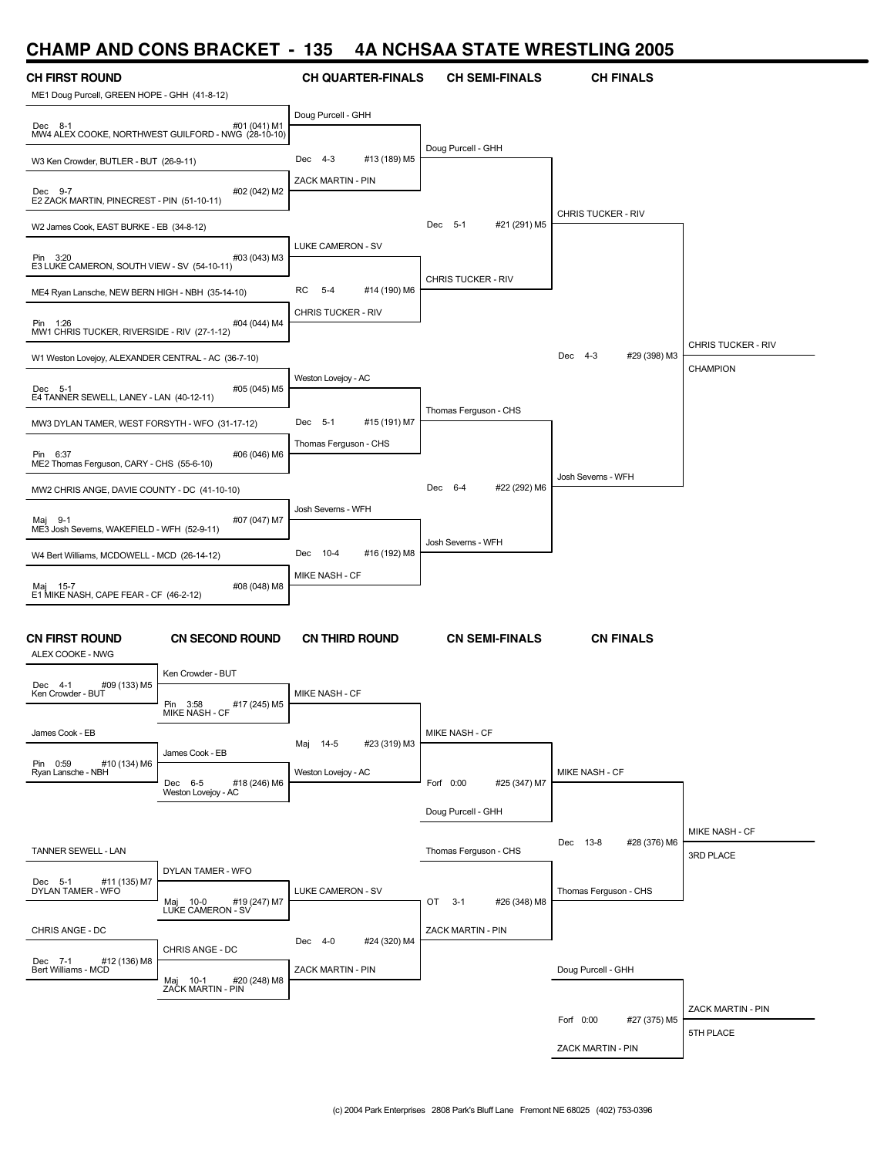## **CHAMP AND CONS BRACKET - 135 4A NCHSAA STATE WRESTLING 2005**

| <i>.</i><br><b>CH FIRST ROUND</b>                       |                                                                     | <b>CH QUARTER-FINALS</b>    | <b>CH SEMI-FINALS</b>     | <b>CH FINALS</b>          |                                       |
|---------------------------------------------------------|---------------------------------------------------------------------|-----------------------------|---------------------------|---------------------------|---------------------------------------|
| ME1 Doug Purcell, GREEN HOPE - GHH (41-8-12)            |                                                                     |                             |                           |                           |                                       |
| Dec 8-1                                                 | #01 (041) M1<br>MW4 ALEX COOKE, NORTHWEST GUILFORD - NWG (28-10-10) | Doug Purcell - GHH          |                           |                           |                                       |
| W3 Ken Crowder, BUTLER - BUT (26-9-11)                  |                                                                     | Dec 4-3<br>#13 (189) M5     | Doug Purcell - GHH        |                           |                                       |
| Dec 9-7<br>E2 ZACK MARTIN, PINECREST - PIN (51-10-11)   | #02 (042) M2                                                        | ZACK MARTIN - PIN           |                           |                           |                                       |
| W2 James Cook, EAST BURKE - EB (34-8-12)                |                                                                     |                             | Dec 5-1<br>#21 (291) M5   | <b>CHRIS TUCKER - RIV</b> |                                       |
| Pin 3:20<br>E3 LUKE CAMERON, SOUTH VIEW - SV (54-10-11) | #03 (043) M3                                                        | LUKE CAMERON - SV           |                           |                           |                                       |
| ME4 Ryan Lansche, NEW BERN HIGH - NBH (35-14-10)        |                                                                     | RC<br>$5-4$<br>#14 (190) M6 | CHRIS TUCKER - RIV        |                           |                                       |
| Pin 1:26<br>MW1 CHRIS TUCKER, RIVERSIDE - RIV (27-1-12) | #04 (044) M4                                                        | CHRIS TUCKER - RIV          |                           |                           |                                       |
| W1 Weston Lovejoy, ALEXANDER CENTRAL - AC (36-7-10)     |                                                                     |                             |                           | Dec 4-3<br>#29 (398) M3   | CHRIS TUCKER - RIV<br><b>CHAMPION</b> |
| Dec 5-1<br>E4 TANNER SEWELL, LANEY - LAN (40-12-11)     | #05 (045) M5                                                        | Weston Lovejoy - AC         |                           |                           |                                       |
| MW3 DYLAN TAMER, WEST FORSYTH - WFO (31-17-12)          |                                                                     | #15 (191) M7<br>Dec 5-1     | Thomas Ferguson - CHS     |                           |                                       |
| Pin 6:37<br>ME2 Thomas Ferguson, CARY - CHS (55-6-10)   | #06 (046) M6                                                        | Thomas Ferguson - CHS       |                           |                           |                                       |
| MW2 CHRIS ANGE, DAVIE COUNTY - DC (41-10-10)            |                                                                     |                             | #22 (292) M6<br>Dec 6-4   | Josh Severns - WFH        |                                       |
| Maj 9-1<br>ME3 Josh Severns, WAKEFIELD - WFH (52-9-11)  | #07 (047) M7                                                        | Josh Severns - WFH          |                           |                           |                                       |
| W4 Bert Williams, MCDOWELL - MCD (26-14-12)             |                                                                     | Dec 10-4<br>#16 (192) M8    | Josh Severns - WFH        |                           |                                       |
| Maj 15-7                                                | #08 (048) M8                                                        | MIKE NASH - CF              |                           |                           |                                       |
| E1 MIKE NASH, CAPE FEAR - CF (46-2-12)                  |                                                                     |                             |                           |                           |                                       |
| <b>CN FIRST ROUND</b><br>ALEX COOKE - NWG               | <b>CN SECOND ROUND</b>                                              | <b>CN THIRD ROUND</b>       | <b>CN SEMI-FINALS</b>     | <b>CN FINALS</b>          |                                       |
| #09 (133) M5<br>Dec 4-1                                 | Ken Crowder - BUT                                                   |                             |                           |                           |                                       |
| Ken Crowder - BUT                                       | Pin 3:58<br>#17 (245) M5<br>MIKE NASH - CF                          | MIKE NASH - CF              |                           |                           |                                       |
| James Cook - EB                                         | James Cook - EB                                                     | Maj 14-5<br>#23 (319) M3    | MIKE NASH - CF            |                           |                                       |
| Pin 0:59<br>#10 (134) M6<br>Ryan Lansche - NBH          | Dec 6-5<br>#18 (246) M6<br>Weston Lovejoy - AC                      | Weston Lovejoy - AC         | Forf 0:00<br>#25 (347) M7 | MIKE NASH - CF            |                                       |
|                                                         |                                                                     |                             | Doug Purcell - GHH        |                           |                                       |
| TANNER SEWELL - LAN                                     |                                                                     |                             | Thomas Ferguson - CHS     | Dec 13-8<br>#28 (376) M6  | MIKE NASH - CF<br>3RD PLACE           |
| Dec 5-1<br>#11 (135) M7<br>DYLAN TAMER - WFO            | DYLAN TAMER - WFO                                                   | <b>LUKE CAMERON - SV</b>    |                           | Thomas Ferguson - CHS     |                                       |
|                                                         | Maj 10-0<br>#19 (247) M7<br>LUKE CAMERON - SV                       |                             | OT 3-1<br>#26 (348) M8    |                           |                                       |
| CHRIS ANGE - DC                                         | CHRIS ANGE - DC                                                     | Dec 4-0<br>#24 (320) M4     | ZACK MARTIN - PIN         |                           |                                       |
| Dec 7-1<br>#12 (136) M8<br>Bert Williams - MCD          | #20 (248) M8<br>Maj 10-1<br>ZAĆK MARTIN - PIN                       | ZACK MARTIN - PIN           |                           | Doug Purcell - GHH        |                                       |
|                                                         |                                                                     |                             |                           |                           | ZACK MARTIN - PIN                     |
|                                                         |                                                                     |                             |                           | #27 (375) M5<br>Forf 0:00 | 5TH PLACE                             |
|                                                         |                                                                     |                             |                           | ZACK MARTIN - PIN         |                                       |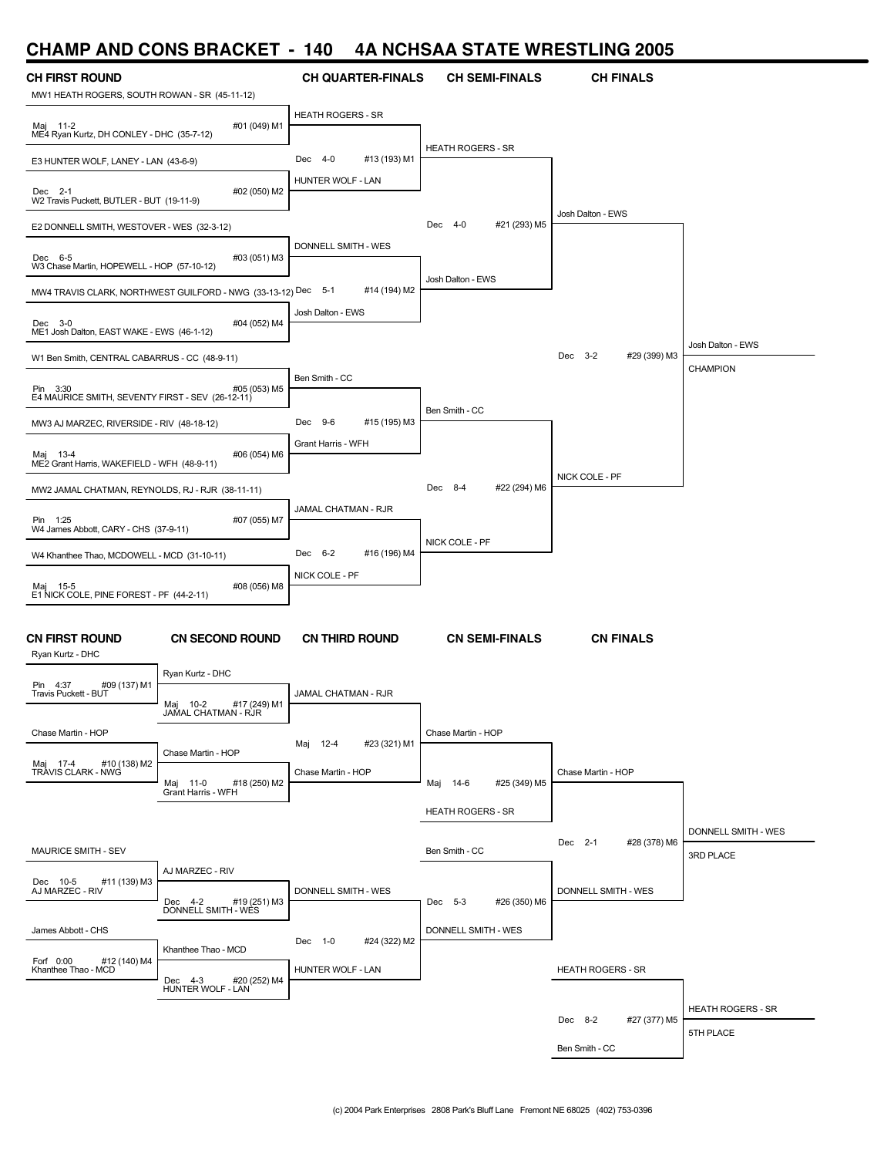### **CHAMP AND CONS BRACKET - 140 4A NCHSAA STATE WRESTLING 2005**

| .<br>.<br><b>CH FIRST ROUND</b>                              |                                                               | .<br><b>CH QUARTER-FINALS</b> | <b>CH SEMI-FINALS</b>    | <b>CH FINALS</b>         |                          |
|--------------------------------------------------------------|---------------------------------------------------------------|-------------------------------|--------------------------|--------------------------|--------------------------|
| MW1 HEATH ROGERS, SOUTH ROWAN - SR (45-11-12)                |                                                               |                               |                          |                          |                          |
| Maj 11-2<br>ME4 Ryan Kurtz, DH CONLEY - DHC (35-7-12)        | #01 (049) M1                                                  | <b>HEATH ROGERS - SR</b>      |                          |                          |                          |
| E3 HUNTER WOLF, LANEY - LAN (43-6-9)                         |                                                               | Dec 4-0<br>#13 (193) M1       | <b>HEATH ROGERS - SR</b> |                          |                          |
| Dec 2-1                                                      | #02 (050) M2                                                  | HUNTER WOLF - LAN             |                          |                          |                          |
| W2 Travis Puckett, BUTLER - BUT (19-11-9)                    |                                                               |                               | #21 (293) M5<br>Dec 4-0  | Josh Dalton - EWS        |                          |
| E2 DONNELL SMITH, WESTOVER - WES (32-3-12)                   |                                                               | DONNELL SMITH - WES           |                          |                          |                          |
| Dec 6-5<br>W3 Chase Martin, HOPEWELL - HOP (57-10-12)        | #03 (051) M3                                                  |                               | Josh Dalton - EWS        |                          |                          |
|                                                              | MW4 TRAVIS CLARK, NORTHWEST GUILFORD - NWG (33-13-12) Dec 5-1 | #14 (194) M2                  |                          |                          |                          |
| Dec 3-0<br>ME1 Josh Dalton, EAST WAKE - EWS (46-1-12)        | #04 (052) M4                                                  | Josh Dalton - EWS             |                          |                          |                          |
| W1 Ben Smith, CENTRAL CABARRUS - CC (48-9-11)                |                                                               |                               |                          | Dec 3-2<br>#29 (399) M3  | Josh Dalton - EWS        |
| Pin 3:30<br>E4 MAURICE SMITH, SEVENTY FIRST - SEV (26-12-11) | #05 (053) M5                                                  | Ben Smith - CC                |                          |                          | <b>CHAMPION</b>          |
|                                                              |                                                               | Dec 9-6<br>#15 (195) M3       | Ben Smith - CC           |                          |                          |
| MW3 AJ MARZEC, RIVERSIDE - RIV (48-18-12)                    |                                                               | Grant Harris - WFH            |                          |                          |                          |
| Maj 13-4<br>ME2 Grant Harris, WAKEFIELD - WFH (48-9-11)      | #06 (054) M6                                                  |                               |                          | NICK COLE - PF           |                          |
| MW2 JAMAL CHATMAN, REYNOLDS, RJ - RJR (38-11-11)             |                                                               |                               | #22 (294) M6<br>Dec 8-4  |                          |                          |
| Pin 1:25<br>W4 James Abbott, CARY - CHS (37-9-11)            | #07 (055) M7                                                  | JAMAL CHATMAN - RJR           |                          |                          |                          |
| W4 Khanthee Thao, MCDOWELL - MCD (31-10-11)                  |                                                               | Dec 6-2<br>#16 (196) M4       | NICK COLE - PF           |                          |                          |
| Maj 15-5                                                     | #08 (056) M8                                                  | NICK COLE - PF                |                          |                          |                          |
| E1 NICK COLE, PINE FOREST - PF (44-2-11)                     |                                                               |                               |                          |                          |                          |
| CN FIRST ROUND<br>Ryan Kurtz - DHC                           | <b>CN SECOND ROUND</b>                                        | <b>CN THIRD ROUND</b>         | <b>CN SEMI-FINALS</b>    | <b>CN FINALS</b>         |                          |
| Pin 4:37<br>#09 (137) M1                                     | Ryan Kurtz - DHC                                              |                               |                          |                          |                          |
| Travis Puckett - BUT                                         | Maj<br>$10-2$<br>#17 (249) M1<br>JAMAL CHATMAN - RJR          | JAMAL CHATMAN - RJR           |                          |                          |                          |
| Chase Martin - HOP                                           |                                                               |                               | Chase Martin - HOP       |                          |                          |
| #10 (138) M2<br>Maj 17-4                                     | Chase Martin - HOP                                            | #23 (321) M1<br>Maj 12-4      |                          |                          |                          |
| TRÁVIS CLARK - NWG                                           | #18 (250) M2<br>Maj 11-0 #<br>Grant Harris - WFH              | Chase Martin - HOP            | Maj 14-6<br>#25 (349) M5 | Chase Martin - HOP       |                          |
|                                                              |                                                               |                               | <b>HEATH ROGERS - SR</b> |                          |                          |
|                                                              |                                                               |                               |                          | Dec 2-1<br>#28 (378) M6  | DONNELL SMITH - WES      |
| <b>MAURICE SMITH - SEV</b>                                   | AJ MARZEC - RIV                                               |                               | Ben Smith - CC           |                          | 3RD PLACE                |
| Dec 10-5<br>#11 (139) M3<br>AJ MARZEC - RIV                  |                                                               | DONNELL SMITH - WES           | #26 (350) M6             | DONNELL SMITH - WES      |                          |
|                                                              | Dec 4-2<br>#19 (251) M3<br>DONNELL SMITH - WES                |                               | Dec 5-3                  |                          |                          |
| James Abbott - CHS                                           | Khanthee Thao - MCD                                           | Dec 1-0<br>#24 (322) M2       | DONNELL SMITH - WES      |                          |                          |
| Forf 0:00<br>#12 (140) M4<br>Khanthee Thao - MCD             |                                                               | HUNTER WOLF - LAN             |                          | <b>HEATH ROGERS - SR</b> |                          |
|                                                              | Dec 4-3<br>#20 (252) M4<br>HUNTER WOLF - LAN                  |                               |                          |                          |                          |
|                                                              |                                                               |                               |                          | Dec 8-2<br>#27 (377) M5  | <b>HEATH ROGERS - SR</b> |
|                                                              |                                                               |                               |                          | Ben Smith - CC           | 5TH PLACE                |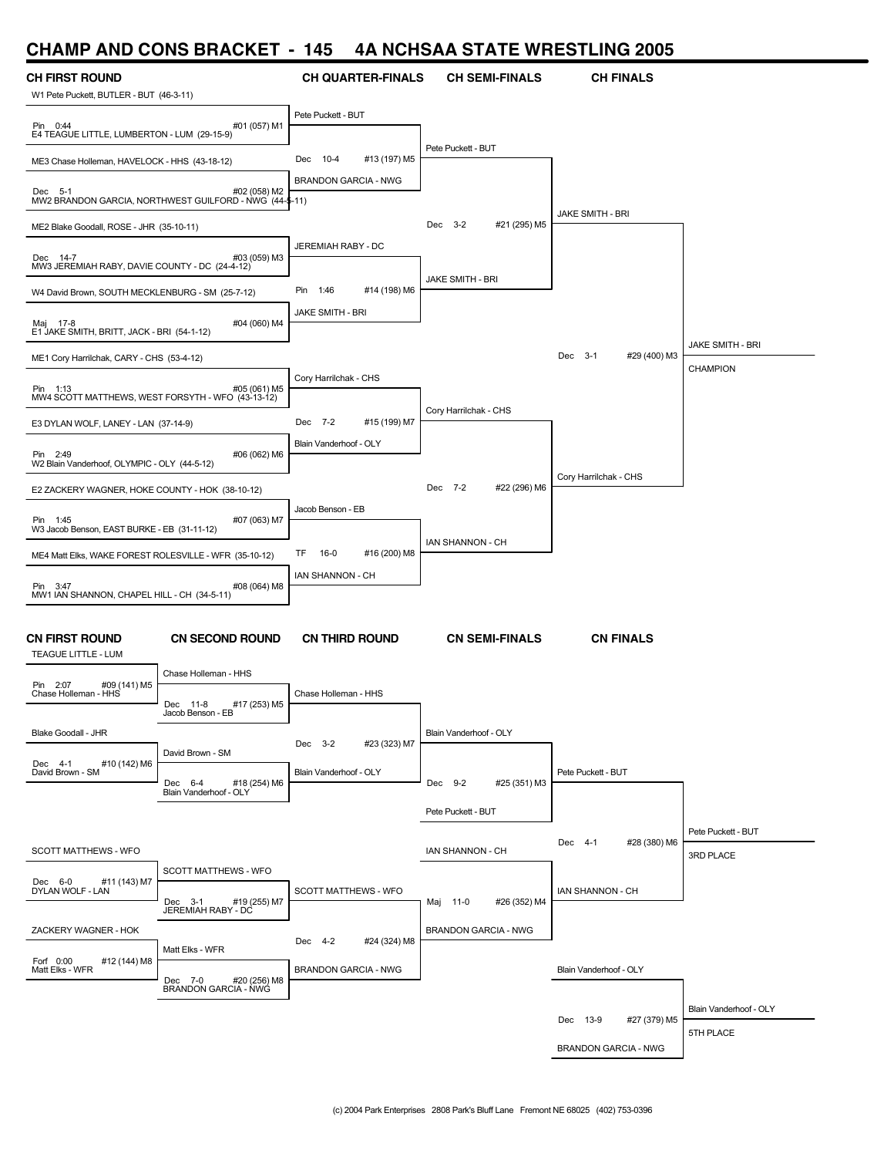## **CHAMP AND CONS BRACKET - 145 4A NCHSAA STATE WRESTLING 2005**

| <b>CH FIRST ROUND</b><br>W1 Pete Puckett, BUTLER - BUT (46-3-11) |                                                                        | <b>CH QUARTER-FINALS</b>       | <b>CH SEMI-FINALS</b>       | <b>CH FINALS</b>            |                        |
|------------------------------------------------------------------|------------------------------------------------------------------------|--------------------------------|-----------------------------|-----------------------------|------------------------|
| Pin 0:44<br>E4 TEAGUE LITTLE, LUMBERTON - LUM (29-15-9)          | #01 (057) M1                                                           | Pete Puckett - BUT             |                             |                             |                        |
| ME3 Chase Holleman, HAVELOCK - HHS (43-18-12)                    |                                                                        | Dec 10-4<br>#13 (197) M5       | Pete Puckett - BUT          |                             |                        |
| Dec 5-1                                                          | #02 (058) M2<br>MW2 BRANDON GARCIA, NORTHWEST GUILFORD - NWG (44-5-11) | <b>BRANDON GARCIA - NWG</b>    |                             |                             |                        |
| ME2 Blake Goodall, ROSE - JHR (35-10-11)                         |                                                                        |                                | Dec 3-2<br>#21 (295) M5     | JAKE SMITH - BRI            |                        |
| Dec 14-7<br>MW3 JEREMIAH RABY, DAVIE COUNTY - DC (24-4-12)       | #03 (059) M3                                                           | JEREMIAH RABY - DC             |                             |                             |                        |
| W4 David Brown, SOUTH MECKLENBURG - SM (25-7-12)                 |                                                                        | 1:46<br>#14 (198) M6<br>Pin    | JAKE SMITH - BRI            |                             |                        |
| Maj 17-8<br>E1 JAKE SMITH, BRITT, JACK - BRI (54-1-12)           | #04 (060) M4                                                           | JAKE SMITH - BRI               |                             |                             |                        |
| ME1 Cory Harrilchak, CARY - CHS (53-4-12)                        |                                                                        |                                |                             | Dec 3-1<br>#29 (400) M3     | JAKE SMITH - BRI       |
| Pin 1:13<br>MW4 SCOTT MATTHEWS, WEST FORSYTH - WFO (43-13-12)    | #05 (061) M5                                                           | Cory Harrilchak - CHS          |                             |                             | CHAMPION               |
| E3 DYLAN WOLF, LANEY - LAN (37-14-9)                             |                                                                        | Dec 7-2<br>#15 (199) M7        | Cory Harrilchak - CHS       |                             |                        |
| Pin 2:49<br>W2 Blain Vanderhoof, OLYMPIC - OLY (44-5-12)         | #06 (062) M6                                                           | Blain Vanderhoof - OLY         |                             |                             |                        |
| E2 ZACKERY WAGNER, HOKE COUNTY - HOK (38-10-12)                  |                                                                        |                                | Dec 7-2<br>#22 (296) M6     | Cory Harrilchak - CHS       |                        |
| Pin 1:45<br>W3 Jacob Benson, EAST BURKE - EB (31-11-12)          | #07 (063) M7                                                           | Jacob Benson - EB              |                             |                             |                        |
| ME4 Matt Elks, WAKE FOREST ROLESVILLE - WFR (35-10-12)           |                                                                        | TF<br>$16 - 0$<br>#16 (200) M8 | IAN SHANNON - CH            |                             |                        |
| Pin 3:47                                                         | #08 (064) M8                                                           | IAN SHANNON - CH               |                             |                             |                        |
| MW1 IAN SHANNON, CHAPEL HILL - CH (34-5-11)                      |                                                                        |                                |                             |                             |                        |
| <b>CN FIRST ROUND</b><br>TEAGUE LITTLE - LUM                     | <b>CN SECOND ROUND</b>                                                 | <b>CN THIRD ROUND</b>          | <b>CN SEMI-FINALS</b>       | <b>CN FINALS</b>            |                        |
| Pin 2:07<br>#09 (141) M5                                         | Chase Holleman - HHS                                                   |                                |                             |                             |                        |
| Chase Holleman - HHS                                             | #17 (253) M5<br>Dec 11-8<br>Jacob Benson - EB                          | Chase Holleman - HHS           |                             |                             |                        |
| Blake Goodall - JHR                                              |                                                                        | Dec 3-2<br>#23 (323) M7        | Blain Vanderhoof - OLY      |                             |                        |
| Dec 4-1<br>#10 (142) M6<br>David Brown - SM                      | David Brown - SM<br>Dec 6-4<br>#18 (254) M6                            | Blain Vanderhoof - OLY         | Dec 9-2<br>#25 (351) M3     | Pete Puckett - BUT          |                        |
|                                                                  | Blain Vanderhoof - OLY                                                 |                                |                             |                             |                        |
|                                                                  |                                                                        |                                | Pete Puckett - BUT          |                             | Pete Puckett - BUT     |
| SCOTT MATTHEWS - WFO                                             |                                                                        |                                | IAN SHANNON - CH            | #28 (380) M6<br>Dec 4-1     | 3RD PLACE              |
| Dec 6-0<br>#11 (143) M7<br>DYLAN WOLF - LAN                      | SCOTT MATTHEWS - WFO                                                   | SCOTT MATTHEWS - WFO           |                             | IAN SHANNON - CH            |                        |
|                                                                  | #19 (255) M7<br>Dec 3-1<br>JEREMIAH RABY - DC                          |                                | #26 (352) M4<br>Maj 11-0    |                             |                        |
| ZACKERY WAGNER - HOK                                             | Matt Elks - WFR                                                        | #24 (324) M8<br>Dec 4-2        | <b>BRANDON GARCIA - NWG</b> |                             |                        |
| Forf 0:00<br>#12 (144) M8<br>Matt Elks - WFR                     | #20 (256) M8<br>Dec 7-0<br>BRANDON GARCIA - NWG                        | <b>BRANDON GARCIA - NWG</b>    |                             | Blain Vanderhoof - OLY      |                        |
|                                                                  |                                                                        |                                |                             |                             | Blain Vanderhoof - OLY |
|                                                                  |                                                                        |                                |                             | Dec 13-9<br>#27 (379) M5    | 5TH PLACE              |
|                                                                  |                                                                        |                                |                             | <b>BRANDON GARCIA - NWG</b> |                        |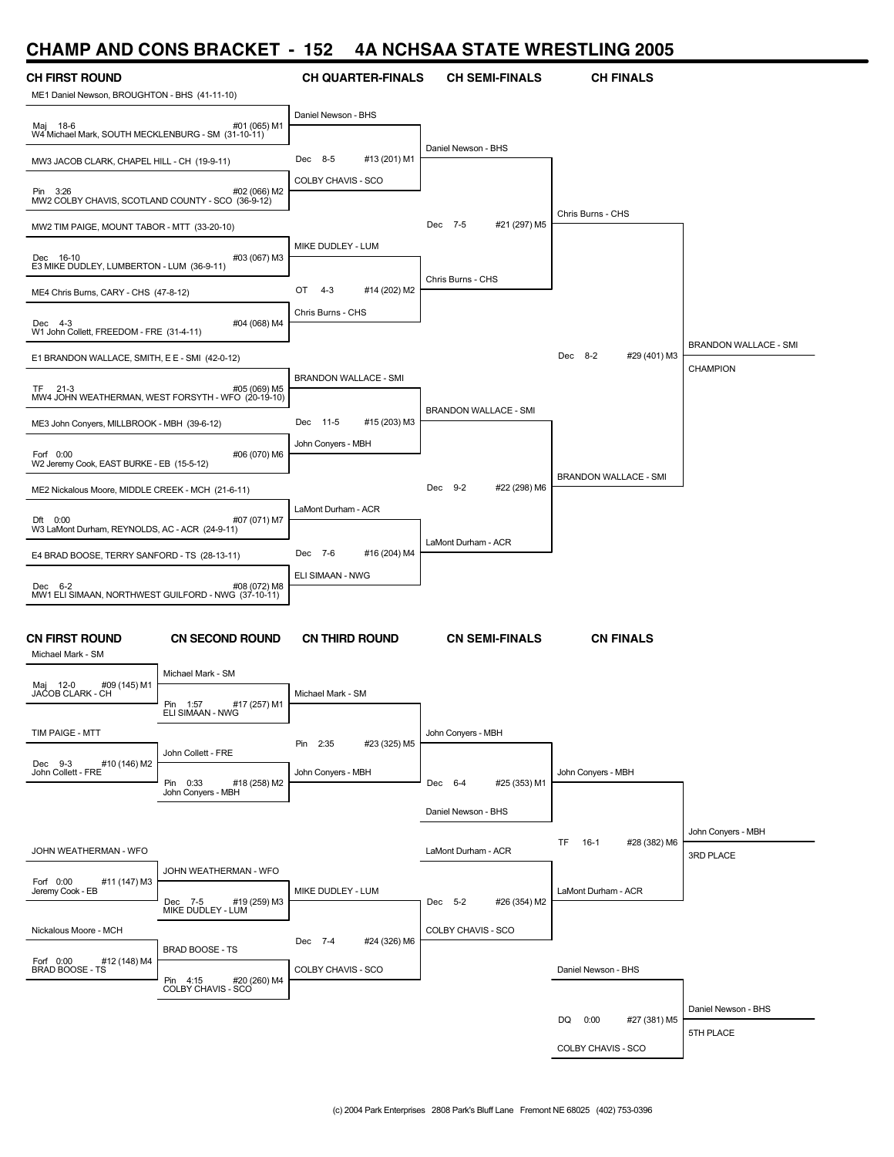## **CHAMP AND CONS BRACKET - 152 4A NCHSAA STATE WRESTLING 2005**

| <b>CH FIRST ROUND</b>                                          |                                                                    | <b>CH QUARTER-FINALS</b>  | <b>CH SEMI-FINALS</b>   | <b>CH FINALS</b>           |                       |
|----------------------------------------------------------------|--------------------------------------------------------------------|---------------------------|-------------------------|----------------------------|-----------------------|
| ME1 Daniel Newson, BROUGHTON - BHS (41-11-10)                  |                                                                    |                           |                         |                            |                       |
| Maj 18-6<br>W4 Michael Mark, SOUTH MECKLENBURG - SM (31-10-11) | #01 (065) M1                                                       | Daniel Newson - BHS       |                         |                            |                       |
| MW3 JACOB CLARK, CHAPEL HILL - CH (19-9-11)                    |                                                                    | Dec 8-5<br>#13 (201) M1   | Daniel Newson - BHS     |                            |                       |
| Pin 3:26<br>MW2 COLBY CHAVIS, SCOTLAND COUNTY - SCO (36-9-12)  | #02 (066) M2                                                       | COLBY CHAVIS - SCO        |                         |                            |                       |
| MW2 TIM PAIGE, MOUNT TABOR - MTT (33-20-10)                    |                                                                    |                           | Dec 7-5<br>#21 (297) M5 | Chris Burns - CHS          |                       |
| Dec 16-10<br>E3 MIKE DUDLEY, LUMBERTON - LUM (36-9-11)         | #03 (067) M3                                                       | MIKE DUDLEY - LUM         |                         |                            |                       |
| ME4 Chris Burns, CARY - CHS (47-8-12)                          |                                                                    | OT<br>4-3<br>#14 (202) M2 | Chris Burns - CHS       |                            |                       |
| Dec 4-3<br>W1 John Collett, FREEDOM - FRE (31-4-11)            | #04 (068) M4                                                       | Chris Burns - CHS         |                         |                            |                       |
| E1 BRANDON WALLACE, SMITH, E E - SMI (42-0-12)                 |                                                                    |                           |                         | Dec 8-2<br>#29 (401) M3    | BRANDON WALLACE - SMI |
| TF.<br>$21 - 3$                                                | #05 (069) M5<br>MW4 JOHN WEATHERMAN, WEST FORSYTH - WFO (20-19-10) | BRANDON WALLACE - SMI     |                         |                            | <b>CHAMPION</b>       |
| ME3 John Conyers, MILLBROOK - MBH (39-6-12)                    |                                                                    | Dec 11-5<br>#15 (203) M3  | BRANDON WALLACE - SMI   |                            |                       |
|                                                                |                                                                    | John Conyers - MBH        |                         |                            |                       |
| Forf 0:00<br>W2 Jeremy Cook, EAST BURKE - EB (15-5-12)         | #06 (070) M6                                                       |                           |                         | BRANDON WALLACE - SMI      |                       |
| ME2 Nickalous Moore, MIDDLE CREEK - MCH (21-6-11)              |                                                                    |                           | Dec 9-2<br>#22 (298) M6 |                            |                       |
| Dft 0:00<br>W3 LaMont Durham, REYNOLDS, AC - ACR (24-9-11)     | #07 (071) M7                                                       | LaMont Durham - ACR       |                         |                            |                       |
| E4 BRAD BOOSE, TERRY SANFORD - TS (28-13-11)                   |                                                                    | Dec 7-6<br>#16 (204) M4   | LaMont Durham - ACR     |                            |                       |
| Dec 6-2                                                        | #08 (072) M8                                                       | ELI SIMAAN - NWG          |                         |                            |                       |
| MW1 ELI SIMAAN, NORTHWEST GUILFORD - NWG (37-10-11)            |                                                                    |                           |                         |                            |                       |
| <b>CN FIRST ROUND</b><br>Michael Mark - SM                     | <b>CN SECOND ROUND</b>                                             | <b>CN THIRD ROUND</b>     | <b>CN SEMI-FINALS</b>   | <b>CN FINALS</b>           |                       |
| #09 (145) M1                                                   | Michael Mark - SM                                                  |                           |                         |                            |                       |
| Maj 12-0 #09<br>JACOB CLARK - CH                               | Pin 1:57<br>#17 (257) M1<br>ELI SIMAAN - NWG                       | Michael Mark - SM         |                         |                            |                       |
| TIM PAIGE - MTT                                                |                                                                    | Pin 2:35<br>#23 (325) M5  | John Conyers - MBH      |                            |                       |
| Dec 9-3<br>#10 (146) M2                                        | John Collett - FRE                                                 |                           |                         |                            |                       |
| John Collett - FRE                                             | #18 (258) M2<br>Pin 0:33<br>John Conyers - MBH                     | John Conyers - MBH        | #25 (353) M1<br>Dec 6-4 | John Conyers - MBH         |                       |
|                                                                |                                                                    |                           | Daniel Newson - BHS     |                            |                       |
|                                                                |                                                                    |                           |                         | TF 16-1<br>#28 (382) M6    | John Conyers - MBH    |
| JOHN WEATHERMAN - WFO                                          | JOHN WEATHERMAN - WFO                                              |                           | LaMont Durham - ACR     |                            | 3RD PLACE             |
| Forf 0:00<br>#11 (147) M3<br>Jeremy Cook - EB                  | #19 (259) M3                                                       | MIKE DUDLEY - LUM         | Dec 5-2<br>#26 (354) M2 | LaMont Durham - ACR        |                       |
| Nickalous Moore - MCH                                          | Dec 7-5 #19                                                        |                           | COLBY CHAVIS - SCO      |                            |                       |
|                                                                | <b>BRAD BOOSE - TS</b>                                             | Dec 7-4<br>#24 (326) M6   |                         |                            |                       |
| Forf 0:00<br>#12 (148) M4<br><b>BRAD BOOSE - TS</b>            | Pin 4:15 #20 (260) M4<br>COLBY CHAVIS - SCO                        | COLBY CHAVIS - SCO        |                         | Daniel Newson - BHS        |                       |
|                                                                |                                                                    |                           |                         |                            | Daniel Newson - BHS   |
|                                                                |                                                                    |                           |                         | DQ<br>0:00<br>#27 (381) M5 | 5TH PLACE             |
|                                                                |                                                                    |                           |                         | COLBY CHAVIS - SCO         |                       |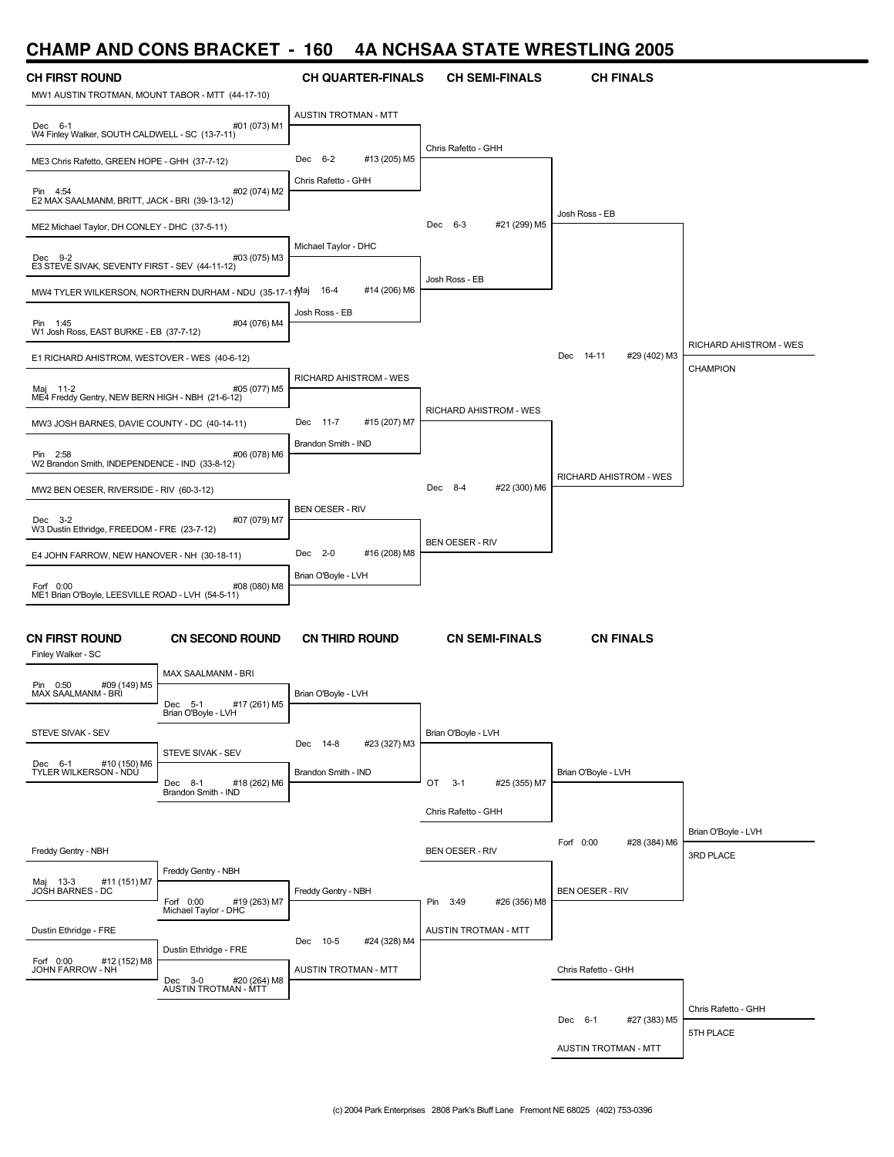#### **CHAMP AND CONS BRACKET - 160 4A NCHSAA STATE WRESTLING 2005**

| <b>CH FIRST ROUND</b>                                          |                                                         | <b>CH QUARTER-FINALS</b>       | <b>CH SEMI-FINALS</b>         | <b>CH FINALS</b>          |                        |
|----------------------------------------------------------------|---------------------------------------------------------|--------------------------------|-------------------------------|---------------------------|------------------------|
| MW1 AUSTIN TROTMAN, MOUNT TABOR - MTT (44-17-10)               |                                                         | <b>AUSTIN TROTMAN - MTT</b>    |                               |                           |                        |
| Dec 6-1<br>W4 Finley Walker, SOUTH CALDWELL - SC (13-7-11)     | #01 (073) M1                                            |                                | Chris Rafetto - GHH           |                           |                        |
| ME3 Chris Rafetto, GREEN HOPE - GHH (37-7-12)                  |                                                         | $6 - 2$<br>#13 (205) M5<br>Dec |                               |                           |                        |
| Pin 4:54<br>E2 MAX SAALMANM, BRITT, JACK - BRI (39-13-12)      | #02 (074) M2                                            | Chris Rafetto - GHH            |                               |                           |                        |
| ME2 Michael Taylor, DH CONLEY - DHC (37-5-11)                  |                                                         |                                | 6-3<br>#21 (299) M5<br>Dec    | Josh Ross - EB            |                        |
| Dec 9-2<br>E3 STEVE SIVAK, SEVENTY FIRST - SEV (44-11-12)      | #03 (075) M3                                            | Michael Taylor - DHC           |                               |                           |                        |
|                                                                | MW4 TYLER WILKERSON, NORTHERN DURHAM - NDU (35-17-11Maj | #14 (206) M6<br>16-4           | Josh Ross - EB                |                           |                        |
| Pin 1:45<br>W1 Josh Ross, EAST BURKE - EB (37-7-12)            | #04 (076) M4                                            | Josh Ross - EB                 |                               |                           |                        |
| E1 RICHARD AHISTROM, WESTOVER - WES (40-6-12)                  |                                                         |                                |                               | Dec 14-11<br>#29 (402) M3 | RICHARD AHISTROM - WES |
|                                                                |                                                         | RICHARD AHISTROM - WES         |                               |                           | <b>CHAMPION</b>        |
| Maj 11-2<br>ME4 Freddy Gentry, NEW BERN HIGH - NBH (21-6-12)   | #05 (077) M5                                            |                                |                               |                           |                        |
| MW3 JOSH BARNES, DAVIE COUNTY - DC (40-14-11)                  |                                                         | Dec 11-7<br>#15 (207) M7       | <b>RICHARD AHISTROM - WES</b> |                           |                        |
|                                                                |                                                         | Brandon Smith - IND            |                               |                           |                        |
| Pin 2:58<br>W2 Brandon Smith, INDEPENDENCE - IND (33-8-12)     | #06 (078) M6                                            |                                |                               |                           |                        |
| MW2 BEN OESER, RIVERSIDE - RIV (60-3-12)                       |                                                         |                                | #22 (300) M6<br>Dec 8-4       | RICHARD AHISTROM - WES    |                        |
|                                                                |                                                         | <b>BEN OESER - RIV</b>         |                               |                           |                        |
| Dec 3-2<br>W3 Dustin Ethridge, FREEDOM - FRE (23-7-12)         | #07 (079) M7                                            |                                |                               |                           |                        |
| E4 JOHN FARROW, NEW HANOVER - NH (30-18-11)                    |                                                         | Dec 2-0<br>#16 (208) M8        | <b>BEN OESER - RIV</b>        |                           |                        |
|                                                                |                                                         | Brian O'Boyle - LVH            |                               |                           |                        |
| Forf 0:00<br>ME1 Brian O'Boyle, LEESVILLE ROAD - LVH (54-5-11) | #08 (080) M8                                            |                                |                               |                           |                        |
|                                                                |                                                         |                                |                               |                           |                        |
| <b>CN FIRST ROUND</b><br>Finley Walker - SC                    | <b>CN SECOND ROUND</b>                                  | <b>CN THIRD ROUND</b>          | <b>CN SEMI-FINALS</b>         | <b>CN FINALS</b>          |                        |
| #09 (149) M5<br>Pin 0:50                                       | MAX SAALMANM - BRI                                      |                                |                               |                           |                        |
| MAX SAALMANM - BRI                                             | #17 (261) M5<br>Dec 5-1<br>Brian O'Boyle - LVH          | Brian O'Boyle - LVH            |                               |                           |                        |
| STEVE SIVAK - SEV                                              |                                                         | #23 (327) M3<br>Dec 14-8       | Brian O'Boyle - LVH           |                           |                        |
| #10 (150) M6<br>Dec 6-1                                        | STEVE SIVAK - SEV                                       |                                |                               |                           |                        |
| TYLER WILKERSON - NDÚ                                          | #18 (262) M6<br>Dec 8-1                                 | Brandon Smith - IND            | OT<br>$3-1$<br>#25 (355) M7   | Brian O'Boyle - LVH       |                        |
|                                                                | Brandon Smith - IND                                     |                                | Chris Rafetto - GHH           |                           |                        |
|                                                                |                                                         |                                |                               |                           | Brian O'Boyle - LVH    |
| Freddy Gentry - NBH                                            |                                                         |                                | <b>BEN OESER - RIV</b>        | Forf 0:00<br>#28 (384) M6 | 3RD PLACE              |
|                                                                | Freddy Gentry - NBH                                     |                                |                               |                           |                        |
| Maj 13-3 #11<br>JOSH BARNES - DC<br>#11 (151) M7               | Forf 0:00<br>#19 (263) M7                               | Freddy Gentry - NBH            | Pin 3:49<br>#26 (356) M8      | <b>BEN OESER - RIV</b>    |                        |
|                                                                | Michael Taylor - DHC                                    |                                |                               |                           |                        |
| Dustin Ethridge - FRE                                          |                                                         | Dec 10-5<br>#24 (328) M4       | AUSTIN TROTMAN - MTT          |                           |                        |
| Forf 0:00<br>#12 (152) M8<br>JOHN FARROW - NH                  | Dustin Ethridge - FRE                                   | <b>AUSTIN TROTMAN - MTT</b>    |                               | Chris Rafetto - GHH       |                        |
|                                                                | Dec 3-0<br>#20 (264) M8<br>AUSTIN TROTMAN - MTT         |                                |                               |                           |                        |
|                                                                |                                                         |                                |                               |                           | Chris Rafetto - GHH    |
|                                                                |                                                         |                                |                               | Dec 6-1<br>#27 (383) M5   | 5TH PLACE              |
|                                                                |                                                         |                                |                               | AUSTIN TROTMAN - MTT      |                        |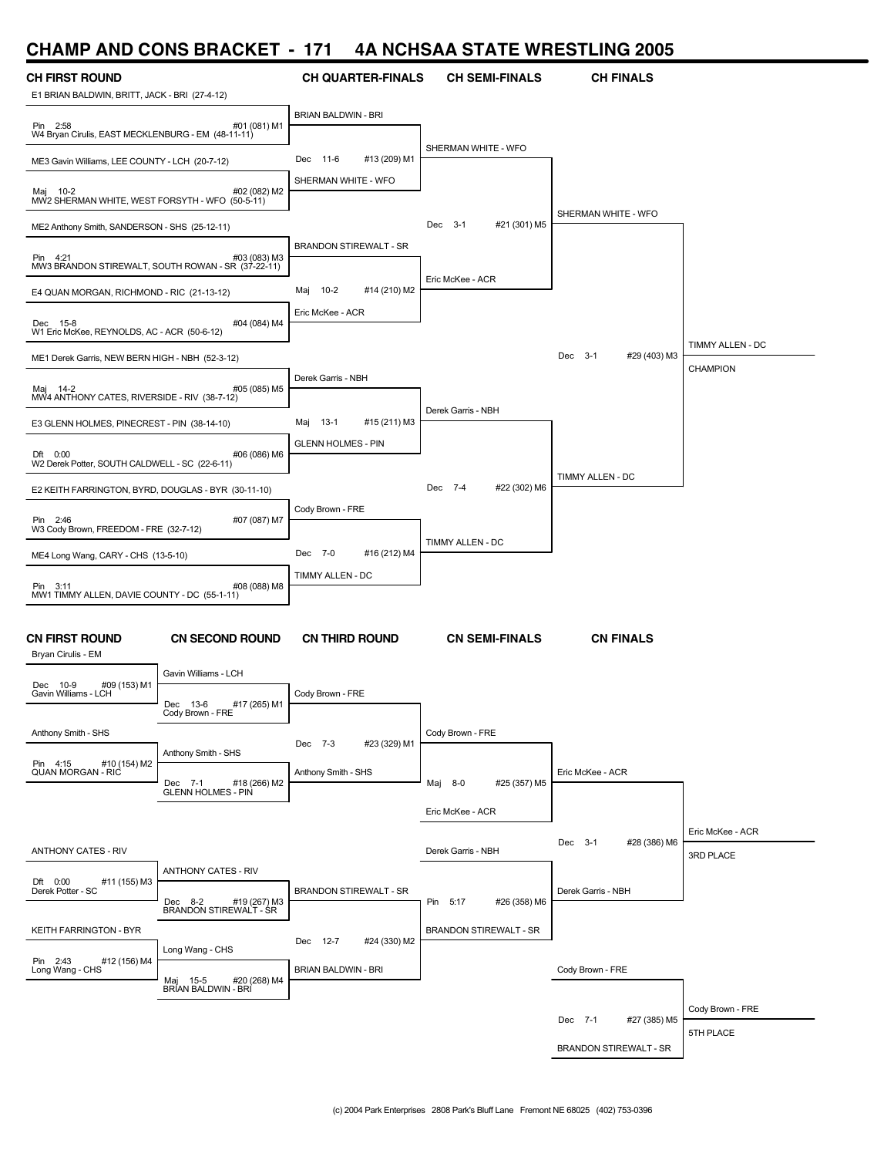# **CHAMP AND CONS BRACKET - 171 4A NCHSAA STATE WRESTLING 2005**

| <b>CH FIRST ROUND</b>                                          |                                                      | <b>CH QUARTER-FINALS</b>        | <b>CH SEMI-FINALS</b>         | <b>CH FINALS</b>              |                  |
|----------------------------------------------------------------|------------------------------------------------------|---------------------------------|-------------------------------|-------------------------------|------------------|
| E1 BRIAN BALDWIN, BRITT, JACK - BRI (27-4-12)                  |                                                      | <b>BRIAN BALDWIN - BRI</b>      |                               |                               |                  |
| Pin 2:58<br>W4 Bryan Cirulis, EAST MECKLENBURG - EM (48-11-11) | #01 (081) M1                                         |                                 |                               |                               |                  |
| ME3 Gavin Williams, LEE COUNTY - LCH (20-7-12)                 |                                                      | Dec 11-6<br>#13 (209) M1        | SHERMAN WHITE - WFO           |                               |                  |
| Maj 10-2<br>MW2 SHERMAN WHITE, WEST FORSYTH - WFO (50-5-11)    | #02 (082) M2                                         | SHERMAN WHITE - WFO             |                               |                               |                  |
| ME2 Anthony Smith, SANDERSON - SHS (25-12-11)                  |                                                      |                                 | #21 (301) M5<br>Dec 3-1       | SHERMAN WHITE - WFO           |                  |
| Pin 4:21<br>MW3 BRANDON STIREWALT, SOUTH ROWAN - SR (37-22-11) | #03 (083) M3                                         | <b>BRANDON STIREWALT - SR</b>   |                               |                               |                  |
| E4 QUAN MORGAN, RICHMOND - RIC (21-13-12)                      |                                                      | $10 - 2$<br>#14 (210) M2<br>Maj | Eric McKee - ACR              |                               |                  |
| Dec 15-8<br>W1 Eric McKee, REYNOLDS, AC - ACR (50-6-12)        | #04 (084) M4                                         | Eric McKee - ACR                |                               |                               |                  |
| ME1 Derek Garris, NEW BERN HIGH - NBH (52-3-12)                |                                                      |                                 |                               | Dec 3-1<br>#29 (403) M3       | TIMMY ALLEN - DC |
| Maj 14-2<br>MW4 ANTHONY CATES, RIVERSIDE - RIV (38-7-12)       | #05 (085) M5                                         | Derek Garris - NBH              |                               |                               | CHAMPION         |
| E3 GLENN HOLMES, PINECREST - PIN (38-14-10)                    |                                                      | Maj 13-1<br>#15 (211) M3        | Derek Garris - NBH            |                               |                  |
| Dft 0:00<br>W2 Derek Potter, SOUTH CALDWELL - SC (22-6-11)     | #06 (086) M6                                         | <b>GLENN HOLMES - PIN</b>       |                               |                               |                  |
| E2 KEITH FARRINGTON, BYRD, DOUGLAS - BYR (30-11-10)            |                                                      |                                 | #22 (302) M6<br>Dec 7-4       | TIMMY ALLEN - DC              |                  |
|                                                                |                                                      | Cody Brown - FRE                |                               |                               |                  |
| Pin 2:46<br>W3 Cody Brown, FREEDOM - FRE (32-7-12)             | #07 (087) M7                                         | Dec 7-0<br>#16 (212) M4         | TIMMY ALLEN - DC              |                               |                  |
| ME4 Long Wang, CARY - CHS (13-5-10)                            |                                                      | TIMMY ALLEN - DC                |                               |                               |                  |
| Pin 3:11<br>MW1 TIMMY ALLEN, DAVIE COUNTY - DC (55-1-11)       | #08 (088) M8                                         |                                 |                               |                               |                  |
| <b>CN FIRST ROUND</b><br>Bryan Cirulis - EM                    | <b>CN SECOND ROUND</b>                               | <b>CN THIRD ROUND</b>           | <b>CN SEMI-FINALS</b>         | <b>CN FINALS</b>              |                  |
| #09 (153) M1<br>Dec 10-9                                       | Gavin Williams - LCH                                 |                                 |                               |                               |                  |
| Gavin Williams - LCH                                           | Dec 13-6<br>#17 (265) M1<br>Cody Brown - FRE         | Cody Brown - FRE                |                               |                               |                  |
| Anthony Smith - SHS                                            |                                                      | Dec 7-3<br>#23 (329) M1         | Cody Brown - FRE              |                               |                  |
| #10 (154) M2<br>Pin 4:15<br><b>QUAN MORGAN - RIC</b>           | Anthony Smith - SHS                                  | Anthony Smith - SHS             |                               | Eric McKee - ACR              |                  |
|                                                                | #18 (266) M2<br>Dec 7-1<br><b>GLENN HOLMES - PIN</b> |                                 | Maj 8-0<br>#25 (357) M5       |                               |                  |
|                                                                |                                                      |                                 | Eric McKee - ACR              |                               |                  |
|                                                                |                                                      |                                 |                               | Dec 3-1<br>#28 (386) M6       | Eric McKee - ACR |
| <b>ANTHONY CATES - RIV</b>                                     |                                                      |                                 | Derek Garris - NBH            |                               | 3RD PLACE        |
| Dft 0:00<br>#11 (155) M3<br>Derek Potter - SC                  | <b>ANTHONY CATES - RIV</b>                           | <b>BRANDON STIREWALT - SR</b>   |                               | Derek Garris - NBH            |                  |
|                                                                | Dec 8-2<br>#19 (267) M3<br>BRANDON STIREWALT - SR    |                                 | Pin 5:17<br>#26 (358) M6      |                               |                  |
| KEITH FARRINGTON - BYR                                         |                                                      | Dec 12-7<br>#24 (330) M2        | <b>BRANDON STIREWALT - SR</b> |                               |                  |
| #12 (156) M4<br>Pin 2:43<br>Long Wang - CHS                    | Long Wang - CHS                                      | <b>BRIAN BALDWIN - BRI</b>      |                               | Cody Brown - FRE              |                  |
|                                                                | #20 (268) M4<br>Maj 15-5<br>BRÍAN BALDWIN - BRÍ      |                                 |                               |                               |                  |
|                                                                |                                                      |                                 |                               |                               | Cody Brown - FRE |
|                                                                |                                                      |                                 |                               | Dec 7-1<br>#27 (385) M5       | 5TH PLACE        |
|                                                                |                                                      |                                 |                               | <b>BRANDON STIREWALT - SR</b> |                  |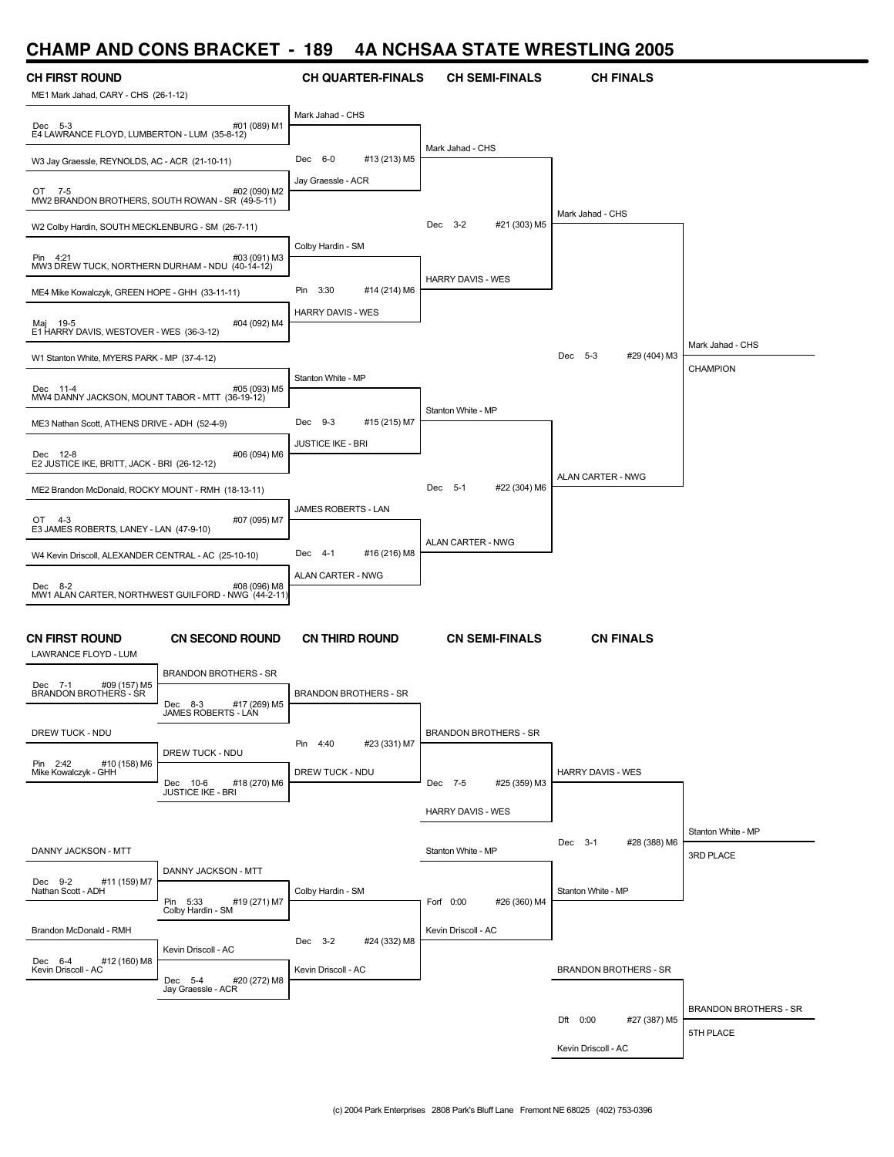### **CHAMP AND CONS BRACKET - 189 4A NCHSAA STATE WRESTLING 2005**

| <b>CH FIRST ROUND</b><br>ME1 Mark Jahad, CARY - CHS (26-1-12) |                                                      | <b>CH QUARTER-FINALS</b>                      | <b>CH SEMI-FINALS</b>        | <b>CH FINALS</b>             |                              |
|---------------------------------------------------------------|------------------------------------------------------|-----------------------------------------------|------------------------------|------------------------------|------------------------------|
|                                                               | #01 (089) M1                                         | Mark Jahad - CHS                              |                              |                              |                              |
| Dec 5-3<br>E4 LAWRANCE FLOYD, LUMBERTON - LUM (35-8-12)       |                                                      |                                               | Mark Jahad - CHS             |                              |                              |
| W3 Jay Graessle, REYNOLDS, AC - ACR (21-10-11)                |                                                      | Dec 6-0<br>#13 (213) M5<br>Jay Graessle - ACR |                              |                              |                              |
| OT 7-5<br>MW2 BRANDON BROTHERS, SOUTH ROWAN - SR (49-5-11)    | #02 (090) M2                                         |                                               |                              |                              |                              |
| W2 Colby Hardin, SOUTH MECKLENBURG - SM (26-7-11)             |                                                      |                                               | Dec 3-2<br>#21 (303) M5      | Mark Jahad - CHS             |                              |
| Pin 4:21<br>MW3 DREW TUCK, NORTHERN DURHAM - NDU (40-14-12)   | #03 (091) M3                                         | Colby Hardin - SM                             |                              |                              |                              |
| ME4 Mike Kowalczyk, GREEN HOPE - GHH (33-11-11)               |                                                      | Pin 3:30<br>#14 (214) M6                      | <b>HARRY DAVIS - WES</b>     |                              |                              |
| Maj 19-5<br>E1 HARRY DAVIS, WESTOVER - WES (36-3-12)          | #04 (092) M4                                         | HARRY DAVIS - WES                             |                              |                              |                              |
| W1 Stanton White, MYERS PARK - MP (37-4-12)                   |                                                      |                                               |                              | Dec 5-3<br>#29 (404) M3      | Mark Jahad - CHS             |
| Dec 11-4                                                      | #05 (093) M5                                         | Stanton White - MP                            |                              |                              | CHAMPION                     |
| MW4 DANNY JACKSON, MOUNT TABOR - MTT (36-19-12)               |                                                      | Dec 9-3<br>#15 (215) M7                       | Stanton White - MP           |                              |                              |
| ME3 Nathan Scott, ATHENS DRIVE - ADH (52-4-9)                 |                                                      | <b>JUSTICE IKE - BRI</b>                      |                              |                              |                              |
| Dec 12-8<br>E2 JUSTICE IKE, BRITT, JACK - BRI (26-12-12)      | #06 (094) M6                                         |                                               |                              | <b>ALAN CARTER - NWG</b>     |                              |
| ME2 Brandon McDonald, ROCKY MOUNT - RMH (18-13-11)            |                                                      |                                               | Dec 5-1<br>#22 (304) M6      |                              |                              |
| OT 4-3<br>E3 JAMES ROBERTS, LANEY - LAN (47-9-10)             | #07 (095) M7                                         | JAMES ROBERTS - LAN                           |                              |                              |                              |
| W4 Kevin Driscoll, ALEXANDER CENTRAL - AC (25-10-10)          |                                                      | Dec 4-1<br>#16 (216) M8                       | ALAN CARTER - NWG            |                              |                              |
| Dec 8-2                                                       | #08 (096) M8                                         | ALAN CARTER - NWG                             |                              |                              |                              |
|                                                               | MW1 ALAN CARTER, NORTHWEST GUILFORD - NWG (44-2-11)  |                                               |                              |                              |                              |
| <b>CN FIRST ROUND</b><br>LAWRANCE FLOYD - LUM                 | <b>CN SECOND ROUND</b>                               | <b>CN THIRD ROUND</b>                         | <b>CN SEMI-FINALS</b>        | <b>CN FINALS</b>             |                              |
| Dec 7-1<br>#09 (157) M5                                       | <b>BRANDON BROTHERS - SR</b>                         |                                               |                              |                              |                              |
| BRANDON BROTHERS - SR                                         | #17 (269) M5<br>Dec 8-3<br>JAMES ROBERTS - LAN       | <b>BRANDON BROTHERS - SR</b>                  |                              |                              |                              |
| DREW TUCK - NDU                                               | DREW TUCK - NDU                                      | Pin 4:40<br>#23 (331) M7                      | <b>BRANDON BROTHERS - SR</b> |                              |                              |
| Pin 2:42<br>#10 (158) M6<br>Mike Kowalczyk - GHH              |                                                      | DREW TUCK - NDU                               |                              | <b>HARRY DAVIS - WES</b>     |                              |
|                                                               | Dec 10-6<br>#18 (270) M6<br><b>JUSTICE IKE - BRI</b> |                                               | Dec 7-5<br>#25 (359) M3      |                              |                              |
|                                                               |                                                      |                                               | <b>HARRY DAVIS - WES</b>     |                              | Stanton White - MP           |
| DANNY JACKSON - MTT                                           |                                                      |                                               | Stanton White - MP           | #28 (388) M6<br>Dec 3-1      | 3RD PLACE                    |
| Dec 9-2<br>#11 (159) M7<br>Nathan Scott - ADH                 | DANNY JACKSON - MTT                                  | Colby Hardin - SM                             |                              | Stanton White - MP           |                              |
|                                                               | Pin 5:33<br>#19 (271) M7<br>Colby Hardin - SM        |                                               | Forf 0:00<br>#26 (360) M4    |                              |                              |
| Brandon McDonald - RMH                                        | Kevin Driscoll - AC                                  | Dec 3-2<br>#24 (332) M8                       | Kevin Driscoll - AC          |                              |                              |
| #12 (160) M8<br>Dec 6-4<br>Kevin Driscoll - AC                | Dec 5-4<br>#20 (272) M8<br>Jay Graessle - ACR        | Kevin Driscoll - AC                           |                              | <b>BRANDON BROTHERS - SR</b> |                              |
|                                                               |                                                      |                                               |                              | Dft 0:00<br>#27 (387) M5     | <b>BRANDON BROTHERS - SR</b> |
|                                                               |                                                      |                                               |                              | Kevin Driscoll - AC          | 5TH PLACE                    |
|                                                               |                                                      |                                               |                              |                              |                              |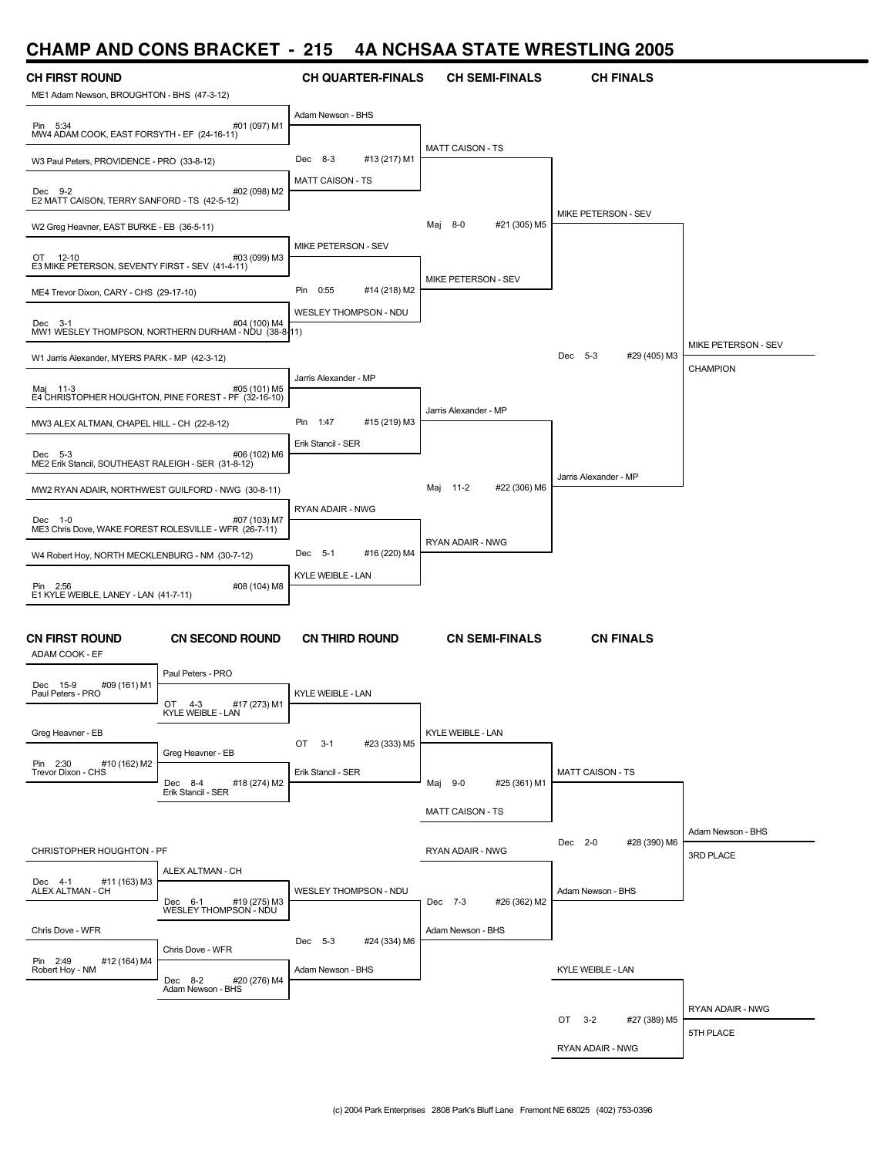#### **CHAMP AND CONS BRACKET - 215 4A NCHSAA STATE WRESTLING 2005**